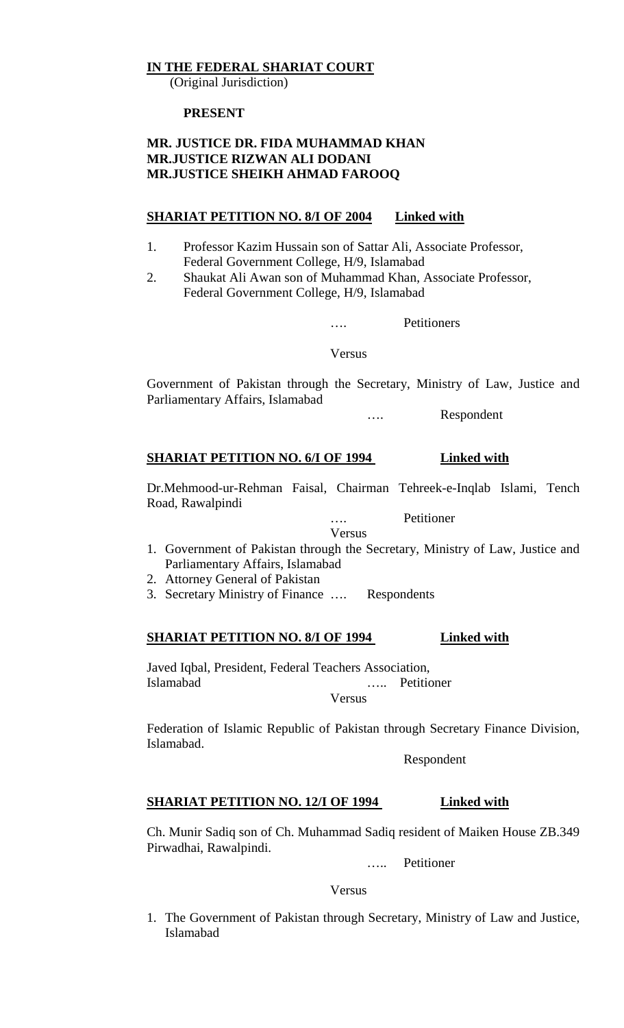### **IN THE FEDERAL SHARIAT COURT**

(Original Jurisdiction)

#### **PRESENT**

### **MR. JUSTICE DR. FIDA MUHAMMAD KHAN MR.JUSTICE RIZWAN ALI DODANI MR.JUSTICE SHEIKH AHMAD FAROOQ**

### **SHARIAT PETITION NO. 8/I OF 2004 Linked with**

- 1. Professor Kazim Hussain son of Sattar Ali, Associate Professor, Federal Government College, H/9, Islamabad
- 2. Shaukat Ali Awan son of Muhammad Khan, Associate Professor, Federal Government College, H/9, Islamabad

…. Petitioners

Versus

Government of Pakistan through the Secretary, Ministry of Law, Justice and Parliamentary Affairs, Islamabad

…. Respondent

### **SHARIAT PETITION NO. 6/I OF 1994 Linked with**

Dr.Mehmood-ur-Rehman Faisal, Chairman Tehreek-e-Inqlab Islami, Tench Road, Rawalpindi

> …. Petitioner Versus

- 1. Government of Pakistan through the Secretary, Ministry of Law, Justice and Parliamentary Affairs, Islamabad
- 2. Attorney General of Pakistan
- 3. Secretary Ministry of Finance …. Respondents

#### **SHARIAT PETITION NO. 8/I OF 1994 Linked with**

Javed Iqbal, President, Federal Teachers Association, Islamabad ….. Petitioner

Versus

Federation of Islamic Republic of Pakistan through Secretary Finance Division, Islamabad.

Respondent

### **SHARIAT PETITION NO. 12/I OF 1994** Linked with

Ch. Munir Sadiq son of Ch. Muhammad Sadiq resident of Maiken House ZB.349 Pirwadhai, Rawalpindi.

….. Petitioner

Versus

1. The Government of Pakistan through Secretary, Ministry of Law and Justice, Islamabad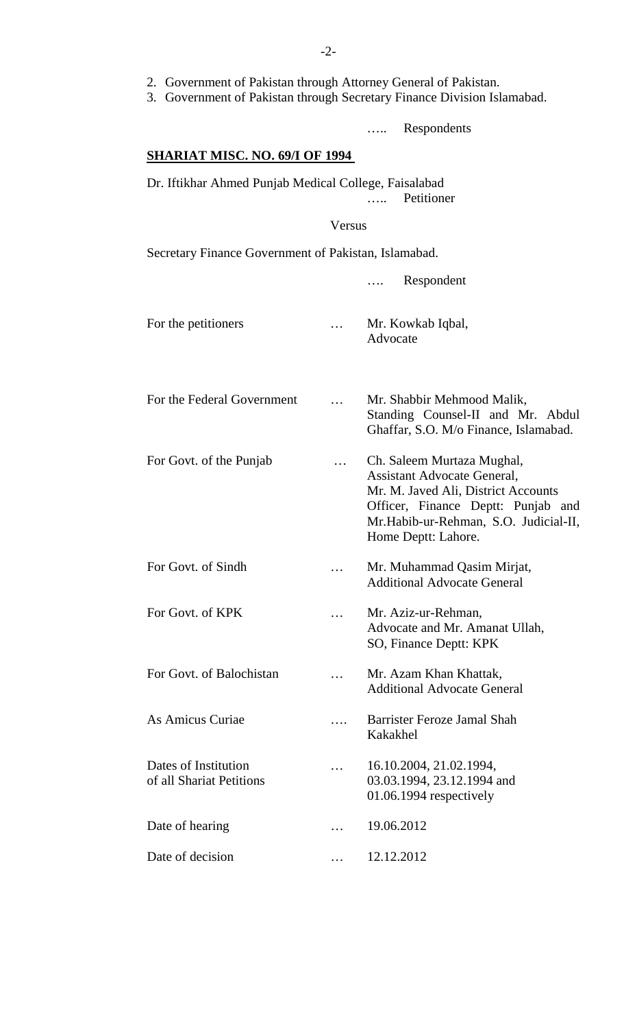- 2. Government of Pakistan through Attorney General of Pakistan.
- 3. Government of Pakistan through Secretary Finance Division Islamabad.

….. Respondents

#### **SHARIAT MISC. NO. 69/I OF 1994**

Dr. Iftikhar Ahmed Punjab Medical College, Faisalabad ….. Petitioner

Versus

Secretary Finance Government of Pakistan, Islamabad.

…. Respondent For the petitioners <br> ... Mr. Kowkab Iqbal, Advocate For the Federal Government ... Mr. Shabbir Mehmood Malik, Standing Counsel-II and Mr. Abdul Ghaffar, S.O. M/o Finance, Islamabad. For Govt. of the Punjab ... Ch. Saleem Murtaza Mughal, Assistant Advocate General, Mr. M. Javed Ali, District Accounts Officer, Finance Deptt: Punjab and Mr.Habib-ur-Rehman, S.O. Judicial-II, Home Deptt: Lahore. For Govt. of Sindh ... Mr. Muhammad Qasim Mirjat, Additional Advocate General For Govt. of KPK ... Mr. Aziz-ur-Rehman, Advocate and Mr. Amanat Ullah, SO, Finance Deptt: KPK For Govt. of Balochistan ... Mr. Azam Khan Khattak, Additional Advocate General As Amicus Curiae …. Barrister Feroze Jamal Shah Kakakhel Dates of Institution ... 16.10.2004, 21.02.1994, of all Shariat Petitions 03.03.1994, 23.12.1994 and 01.06.1994 respectively Date of hearing ... 19.06.2012 Date of decision ... 12.12.2012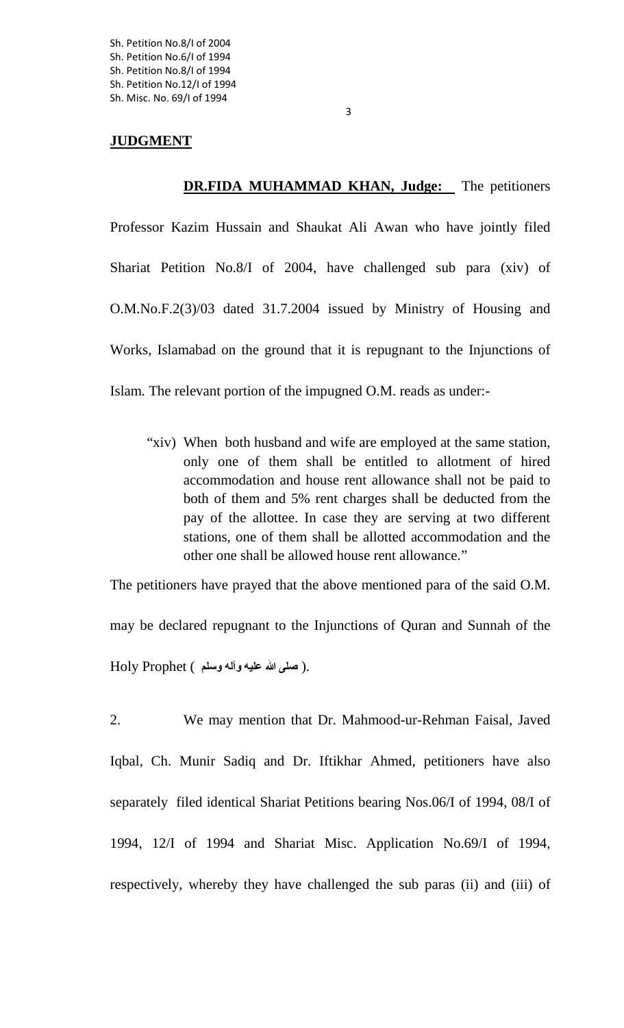### **JUDGMENT**

**DR.FIDA MUHAMMAD KHAN, Judge:** The petitioners

Professor Kazim Hussain and Shaukat Ali Awan who have jointly filed Shariat Petition No.8/I of 2004, have challenged sub para (xiv) of O.M.No.F.2(3)/03 dated 31.7.2004 issued by Ministry of Housing and Works, Islamabad on the ground that it is repugnant to the Injunctions of Islam. The relevant portion of the impugned O.M. reads as under:-

"xiv) When both husband and wife are employed at the same station, only one of them shall be entitled to allotment of hired accommodation and house rent allowance shall not be paid to both of them and 5% rent charges shall be deducted from the pay of the allottee. In case they are serving at two different stations, one of them shall be allotted accommodation and the other one shall be allowed house rent allowance."

The petitioners have prayed that the above mentioned para of the said O.M. may be declared repugnant to the Injunctions of Quran and Sunnah of the .( **صلى الله عليه وآله وسلم** ) Prophet Holy

2. We may mention that Dr. Mahmood-ur-Rehman Faisal, Javed Iqbal, Ch. Munir Sadiq and Dr. Iftikhar Ahmed, petitioners have also separately filed identical Shariat Petitions bearing Nos.06/I of 1994, 08/I of 1994, 12/I of 1994 and Shariat Misc. Application No.69/I of 1994, respectively, whereby they have challenged the sub paras (ii) and (iii) of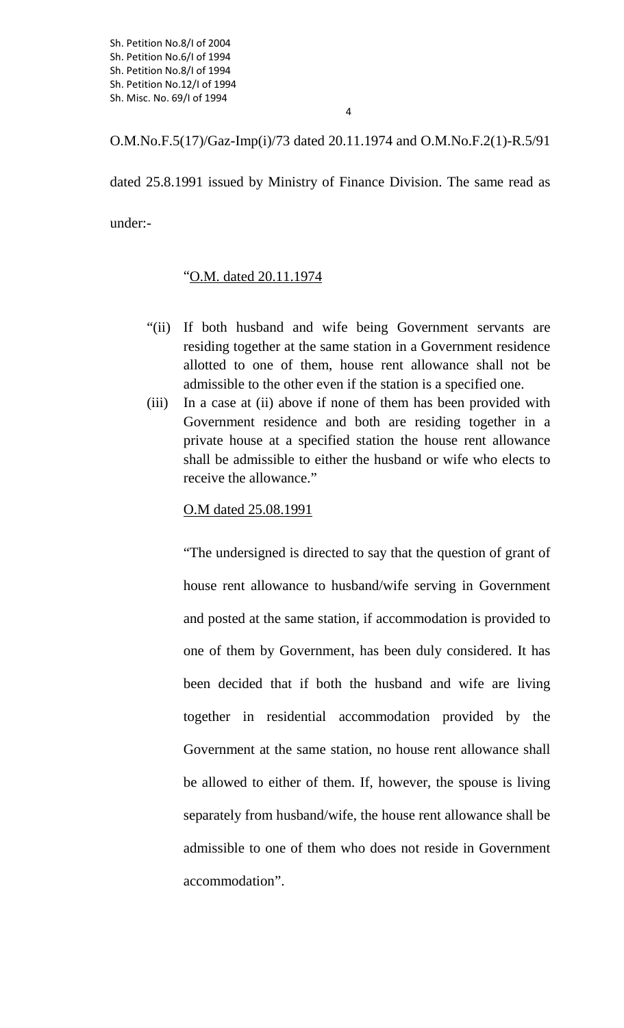O.M.No.F.5(17)/Gaz-Imp(i)/73 dated 20.11.1974 and O.M.No.F.2(1)-R.5/91

dated 25.8.1991 issued by Ministry of Finance Division. The same read as under:-

## " O.M. dated 20.11.1974

- "(ii) If both husband and wife being Government servants are residing together at the same station in a Government residence allotted to one of them, house rent allowance shall not be admissible to the other even if the station is a specified one.
- (iii) In a case at (ii) above if none of them has been provided with Government residence and both are residing together in a private house at a specified station the house rent allowance shall be admissible to either the husband or wife who elects to receive the allowance."

## O.M dated 25.08.1991

"The undersigned is directed to say that the question of grant of house rent allowance to husband/wife serving in Government and posted at the same station, if accommodation is provided to one of them by Government, has been duly considered. It has been decided that if both the husband and wife are living together in residential accommodation provided by the Government at the same station, no house rent allowance shall be allowed to either of them. If, however, the spouse is living separately from husband/wife, the house rent allowance shall be admissible to one of them who does not reside in Government accommodation".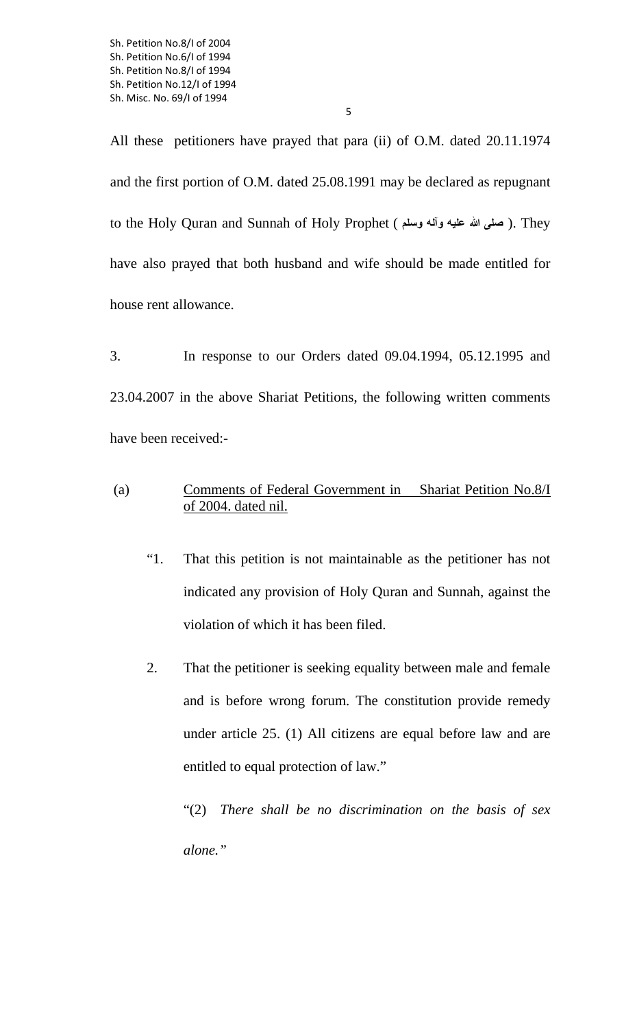All these petitioners have prayed that para (ii) of O.M. dated 20.11.1974 and the first portion of O.M. dated 25.08.1991 may be declared as repugnant to the Holy Quran and Sunnah of Holy Prophet ( **وسلم وآله عليه الله صلى**( . They have also prayed that both husband and wife should be made entitled for

house rent allowance.

3. In response to our Orders dated 09.04.1994, 05.12.1995 and 23.04.2007 in the above Shariat Petitions, the following written comments have been received:-

- (a) **Comments of Federal Government in** Shariat Petition No.8/I of 2004. dated nil.
	- "1. That this petition is not maintainable as the petitioner has not indicated any provision of Holy Quran and Sunnah, against the violation of which it has been filed.
	- 2. That the petitioner is seeking equality between male and female and is before wrong forum. The constitution provide remedy under article 25. (1) All citizens are equal before law and are entitled to equal protection of law."

"(2) *There shall be no discrimination on the basis of sex alone."*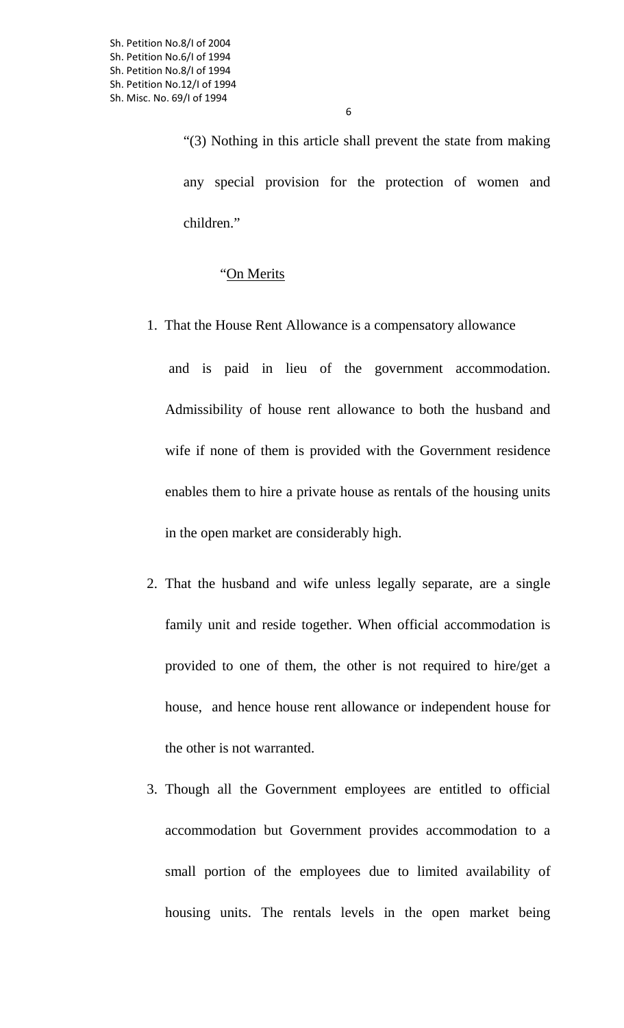"(3) Nothing in this article shall prevent the state from making any special provision for the protection of women and children."

" On Merits

1. That the House Rent Allowance is a compensatory allowance

and is paid in lieu of the government accommodation. Admissibility of house rent allowance to both the husband and wife if none of them is provided with the Government residence enables them to hire a private house as rentals of the housing units in the open market are considerably high.

- 2. That the husband and wife unless legally separate, are a single family unit and reside together. When official accommodation is provided to one of them, the other is not required to hire/get a house, and hence house rent allowance or independent house for the other is not warranted.
- 3. Though all the Government employees are entitled to official accommodation but Government provides accommodation to a small portion of the employees due to limited availability of housing units. The rentals levels in the open market being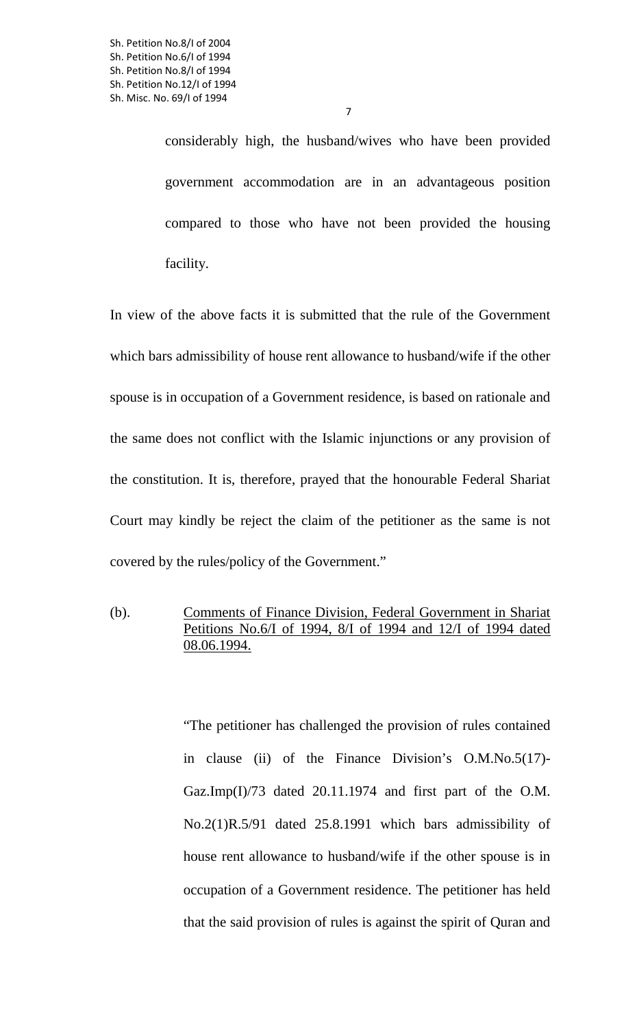considerably high, the husband/wives who have been provided government accommodation are in an advantageous position compared to those who have not been provided the housing facility.

7

In view of the above facts it is submitted that the rule of the Government which bars admissibility of house rent allowance to husband/wife if the other spouse is in occupation of a Government residence, is based on rationale and the same does not conflict with the Islamic injunctions or any provision of the constitution. It is, therefore, prayed that the honourable Federal Shariat Court may kindly be reject the claim of the petitioner as the same is not covered by the rules/policy of the Government."

(b). Comments of Finance Division, Federal Government in Shariat Petitions No.6/I of 1994, 8/I of 1994 and 12/I of 1994 dated 08.06.1994.

> "The petitioner has challenged the provision of rules contained in clause (ii) of the Finance Division's O.M.No.5(17)- Gaz.Imp(I)/73 dated 20.11.1974 and first part of the O.M. No.2(1)R.5/91 dated 25.8.1991 which bars admissibility of house rent allowance to husband/wife if the other spouse is in occupation of a Government residence. The petitioner has held that the said provision of rules is against the spirit of Quran and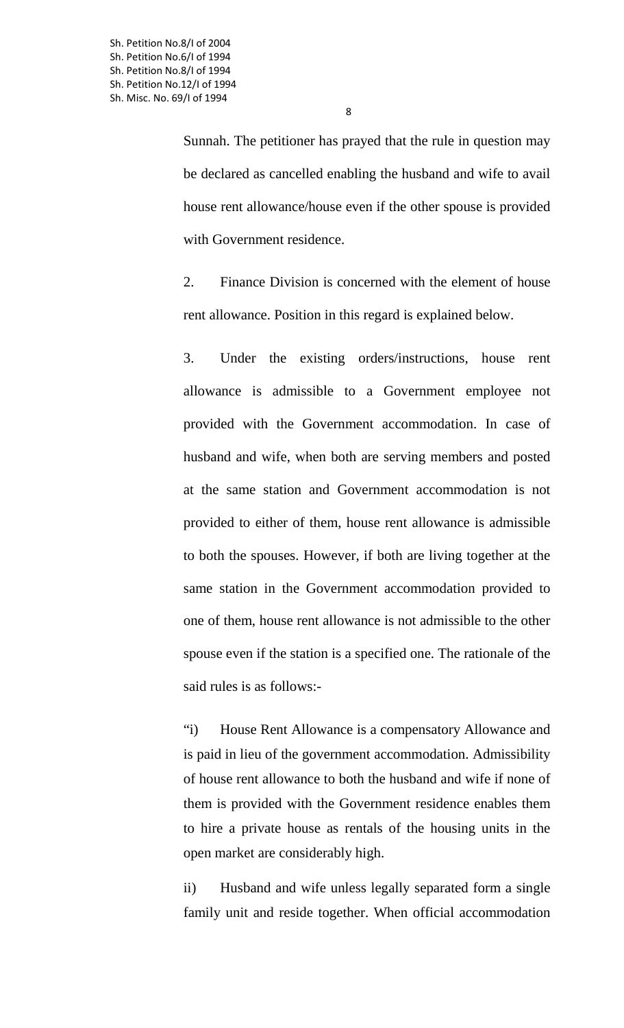Sunnah. The petitioner has prayed that the rule in question may be declared as cancelled enabling the husband and wife to avail house rent allowance/house even if the other spouse is provided with Government residence.

2. Finance Division is concerned with the element of house rent allowance. Position in this regard is explained below.

3. Under the existing orders/instructions, house rent allowance is admissible to a Government employee not provided with the Government accommodation. In case of husband and wife, when both are serving members and posted at the same station and Government accommodation is not provided to either of them, house rent allowance is admissible to both the spouses. However, if both are living together at the same station in the Government accommodation provided to one of them, house rent allowance is not admissible to the other spouse even if the station is a specified one. The rationale of the said rules is as follows:-

"i) House Rent Allowance is a compensatory Allowance and is paid in lieu of the government accommodation. Admissibility of house rent allowance to both the husband and wife if none of them is provided with the Government residence enables them to hire a private house as rentals of the housing units in the open market are considerably high.

ii) Husband and wife unless legally separated form a single family unit and reside together. When official accommodation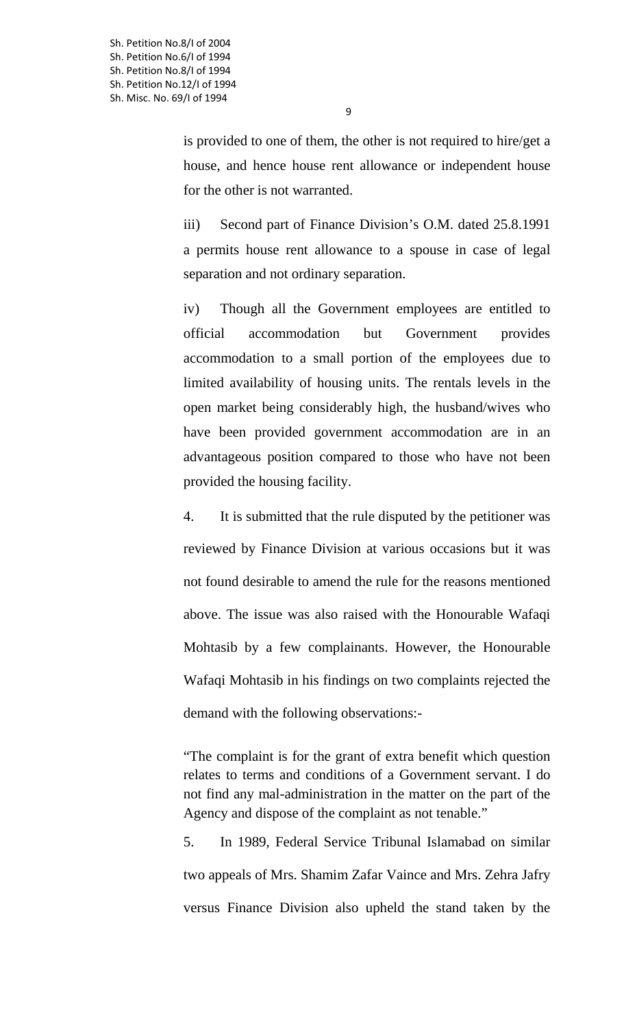$\overline{q}$ 

is provided to one of them, the other is not required to hire/get a house, and hence house rent allowance or independent house for the other is not warranted.

iii) Second part of Finance Division's O.M. dated 25.8.1991 a permits house rent allowance to a spouse in case of legal separation and not ordinary separation.

iv) Though all the Government employees are entitled to official accommodation but Government provides accommodation to a small portion of the employees due to limited availability of housing units. The rentals levels in the open market being considerably high, the husband/wives who have been provided government accommodation are in an advantageous position compared to those who have not been provided the housing facility.

4. It is submitted that the rule disputed by the petitioner was reviewed by Finance Division at various occasions but it was not found desirable to amend the rule for the reasons mentioned above. The issue was also raised with the Honourable Wafaqi Mohtasib by a few complainants. However, the Honourable Wafaqi Mohtasib in his findings on two complaints rejected the demand with the following observations:-

"The complaint is for the grant of extra benefit which question relates to terms and conditions of a Government servant. I do not find any mal-administration in the matter on the part of the Agency and dispose of the complaint as not tenable."

5. In 1989, Federal Service Tribunal Islamabad on similar two appeals of Mrs. Shamim Zafar Vaince and Mrs. Zehra Jafry versus Finance Division also upheld the stand taken by the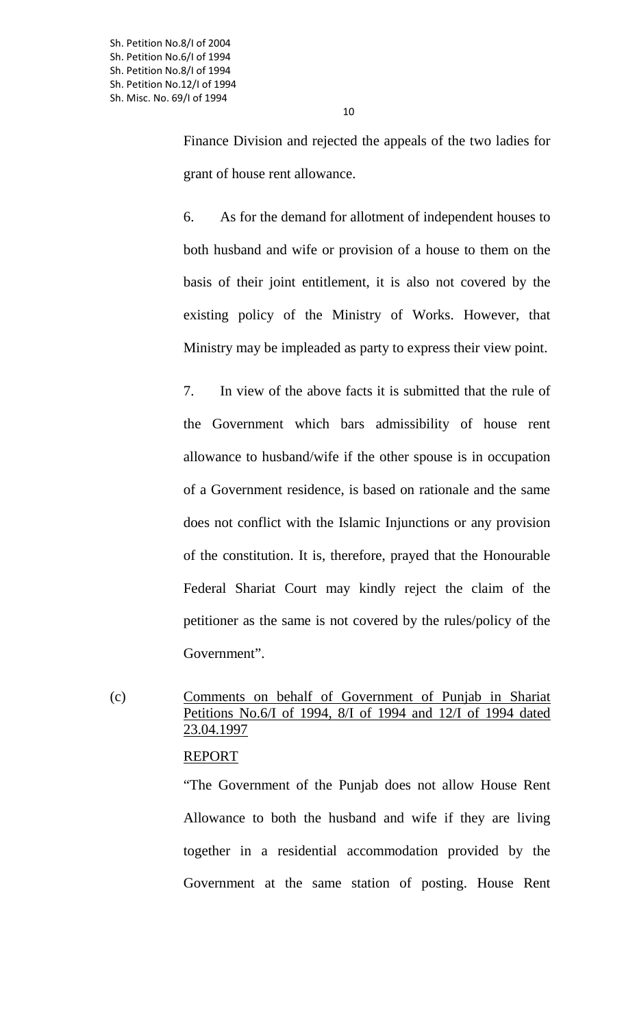Finance Division and rejected the appeals of the two ladies for grant of house rent allowance.

6. As for the demand for allotment of independent houses to both husband and wife or provision of a house to them on the basis of their joint entitlement, it is also not covered by the existing policy of the Ministry of Works. However, that Ministry may be impleaded as party to express their view point.

7. In view of the above facts it is submitted that the rule of the Government which bars admissibility of house rent allowance to husband/wife if the other spouse is in occupation of a Government residence, is based on rationale and the same does not conflict with the Islamic Injunctions or any provision of the constitution. It is, therefore, prayed that the Honourable Federal Shariat Court may kindly reject the claim of the petitioner as the same is not covered by the rules/policy of the Government".

# (c) Comments on behalf of Government of Punjab in Shariat Petitions No.6/I of 1994, 8/I of 1994 and 12/I of 1994 dated 23.04.1997

### REPORT

"The Government of the Punjab does not allow House Rent Allowance to both the husband and wife if they are living together in a residential accommodation provided by the Government at the same station of posting. House Rent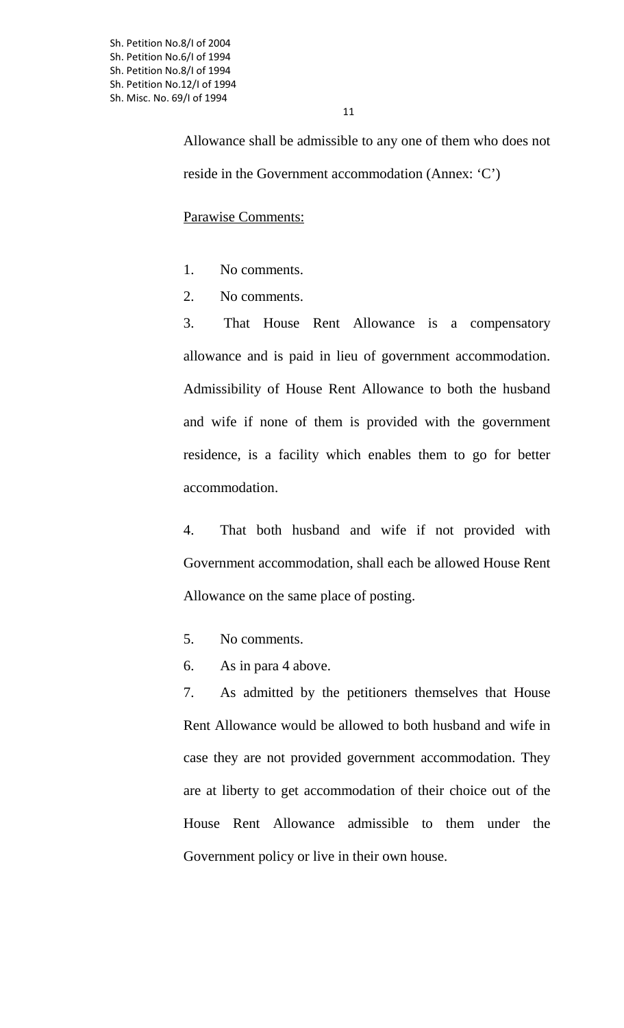Sh. Petition No.8/I of 2004 Sh. Petition No.6/I of 1994 Sh. Petition No.8/I of 1994 Sh. Petition No.12/I of 1994 Sh. Misc. No. 69/I of 1994

> Allowance shall be admissible to any one of them who does not reside in the Government accommodation (Annex: 'C')

Parawise Comments:

- 1. No comments.
- 2. No comments.

3. That House Rent Allowance is a compensatory allowance and is paid in lieu of government accommodation. Admissibility of House Rent Allowance to both the husband and wife if none of them is provided with the government residence, is a facility which enables them to go for better accommodation.

4. That both husband and wife if not provided with Government accommodation, shall each be allowed House Rent Allowance on the same place of posting.

- 5. No comments.
- 6. As in para 4 above.

7. As admitted by the petitioners themselves that House Rent Allowance would be allowed to both husband and wife in case they are not provided government accommodation. They are at liberty to get accommodation of their choice out of the House Rent Allowance admissible to them under the Government policy or live in their own house.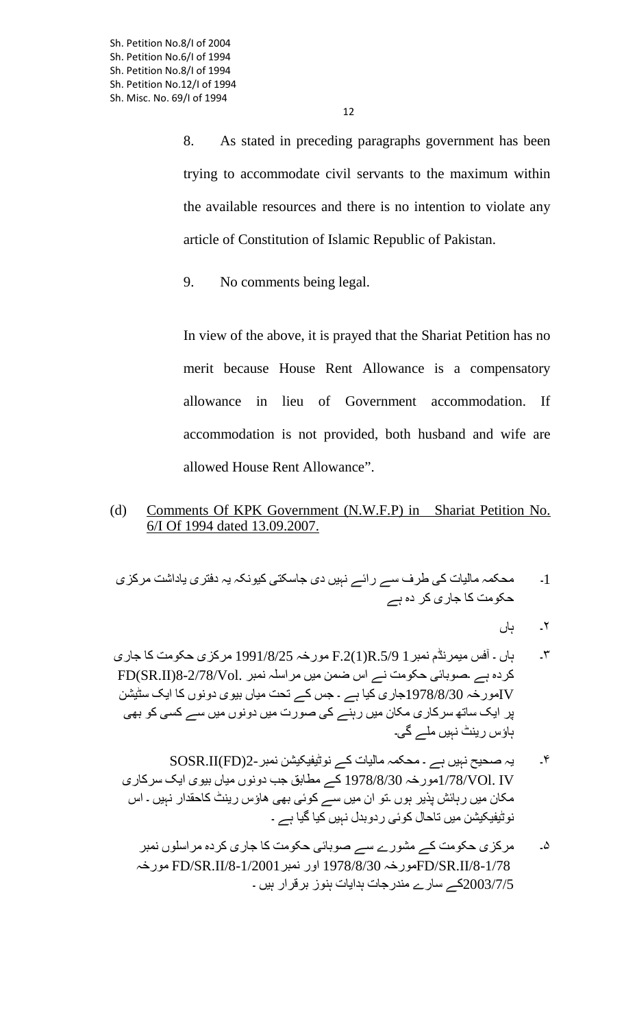8. As stated in preceding paragraphs government has been trying to accommodate civil servants to the maximum within the available resources and there is no intention to violate any article of Constitution of Islamic Republic of Pakistan.

9. No comments being legal.

In view of the above, it is prayed that the Shariat Petition has no merit because House Rent Allowance is a compensatory allowance in lieu of Government accommodation. If accommodation is not provided, both husband and wife are allowed House Rent Allowance".

(d) Comments Of KPK Government (N.W.F.P) in Shariat Petition No. 6/I Of 1994 dated 13.09.2007.

1۔ محکمہ ماليات کی طرف سے رائے نہيں دی جاسکتی کيونکہ يہ دفتری ياداشت مرکزی حکومت کا جاری کر ده ہے

۲۔ ہاں

- ۳۔ ہاں ۔ آفس ميمرنڈم نمبر1 .5/9R)1(.2F مورخہ 1991/8/25 مرکزی حکومت کا جاری کردہ ہے ۔صوبائی حکومت نے اس ضمن ميں مراسلہ نمبر .FD(SR.II)8-2/78/Vol IVمورخہ 1978/8/30جاری کيا ہے ۔ جس کے تحت مياں بيوی دونوں کا ايک سڻيشن پر ايک ساته سرکاری مکان ميں رہنے کی صورت ميں دونوں ميں سے کسی کو بهی ہاؤس رينٹ نہيں ملے گی۔
	- ۴۔ يہ صحيح نہيں ہے ۔ محکمہ ماليات کے نوڻيفيکيشن نمبر2-(FD(II.SOSR IV .VOl1/78/مورخہ 1978/8/30 کے مطابق جب دونوں مياں بيوی ايک سرکاری مکان ميں رہائش پذير ہوں ۔تو ان ميں سے کوئی بهی هاؤس رينٹ کاحقدار نہيں ۔ اس نوڻيفيکيشن ميں تاحال کوئی ردوبدل نہيں کيا گيا ہے ۔
		- ۵۔ مرکزی حکومت کے مشورے سے صوبائی حکومت کا جاری کرده مراسلوں نمبر مورخہ FD/SR.II/8-1/2001نمبر اور 1978/8/30 مورخہFD/SR.II/8-1/78 2003/7/5کے سارے مندرجات ہدايات ہنوز برقرار ہيں ۔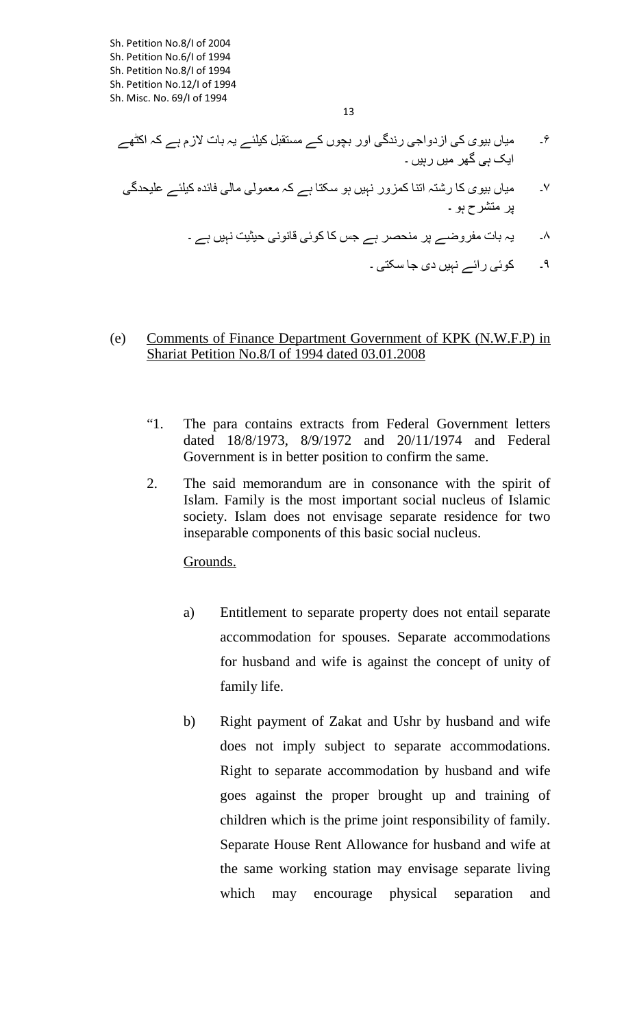- ۶۔ مياں بيوی کی ازدواجی رندگی اور بچوں کے مستقبل کيلئے يہ بات لازم ہے کہ اکڻهے ايک ہی گهر ميں رہيں ۔
- ۷۔ مياں بيوی کا رشتہ اتنا کمزور نہيں ہو سکتا ہے کہ معمولی مالی فائده کيلئے عليحدگی پر متشرح ہو ۔
	- ۸۔ يہ بات مفروضے پر منحصر ہے جس کا کوئی قانونی حيثيت نہيں ہے ۔
		- ۹۔ کوئی رائے نہيں دی جا سکتی ۔

## (e) Comments of Finance Department Government of KPK (N.W.F.P) in Shariat Petition No.8/I of 1994 dated 03.01.2008

- "1. The para contains extracts from Federal Government letters dated 18/8/1973, 8/9/1972 and 20/11/1974 and Federal Government is in better position to confirm the same.
- 2. The said memorandum are in consonance with the spirit of Islam. Family is the most important social nucleus of Islamic society. Islam does not envisage separate residence for two inseparable components of this basic social nucleus.

# Grounds.

- a) Entitlement to separate property does not entail separate accommodation for spouses. Separate accommodations for husband and wife is against the concept of unity of family life.
- b) Right payment of Zakat and Ushr by husband and wife does not imply subject to separate accommodations. Right to separate accommodation by husband and wife goes against the proper brought up and training of children which is the prime joint responsibility of family. Separate House Rent Allowance for husband and wife at the same working station may envisage separate living which may encourage physical separation and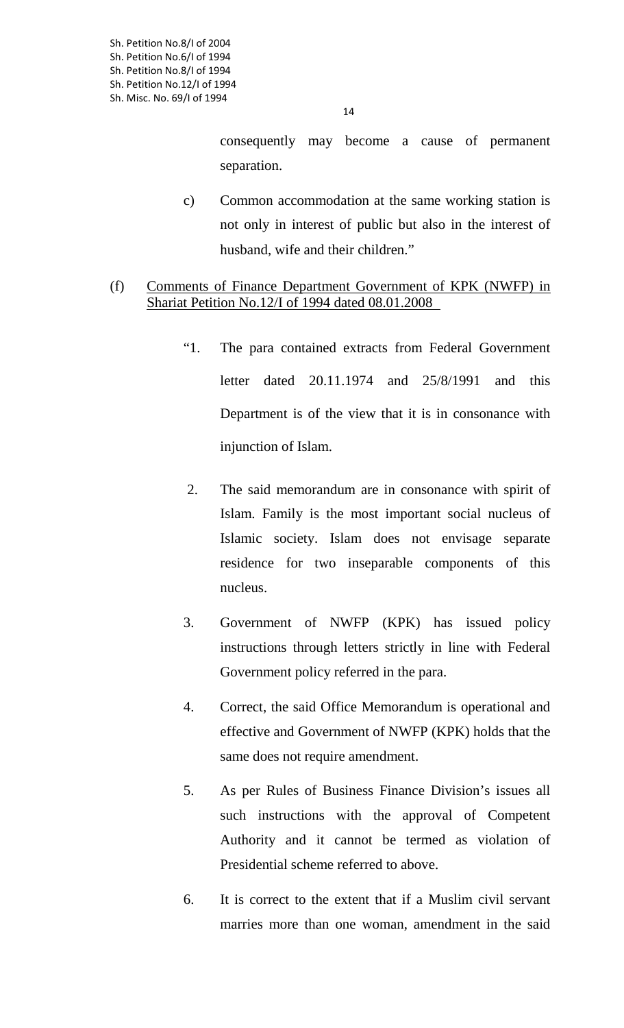14

consequently may become a cause of permanent separation.

c) Common accommodation at the same working station is not only in interest of public but also in the interest of husband, wife and their children."

# (f) Comments of Finance Department Government of KPK (NWFP) in Shariat Petition No.12/I of 1994 dated 08.01.2008

- "1. The para contained extracts from Federal Government letter dated 20.11.1974 and 25/8/1991 and this Department is of the view that it is in consonance with injunction of Islam.
- 2. The said memorandum are in consonance with spirit of Islam. Family is the most important social nucleus of Islamic society. Islam does not envisage separate residence for two inseparable components of this nucleus.
- 3. Government of NWFP (KPK) has issued policy instructions through letters strictly in line with Federal Government policy referred in the para.
- 4. Correct, the said Office Memorandum is operational and effective and Government of NWFP (KPK) holds that the same does not require amendment.
- 5. As per Rules of Business Finance Division's issues all such instructions with the approval of Competent Authority and it cannot be termed as violation of Presidential scheme referred to above.
- 6. It is correct to the extent that if a Muslim civil servant marries more than one woman, amendment in the said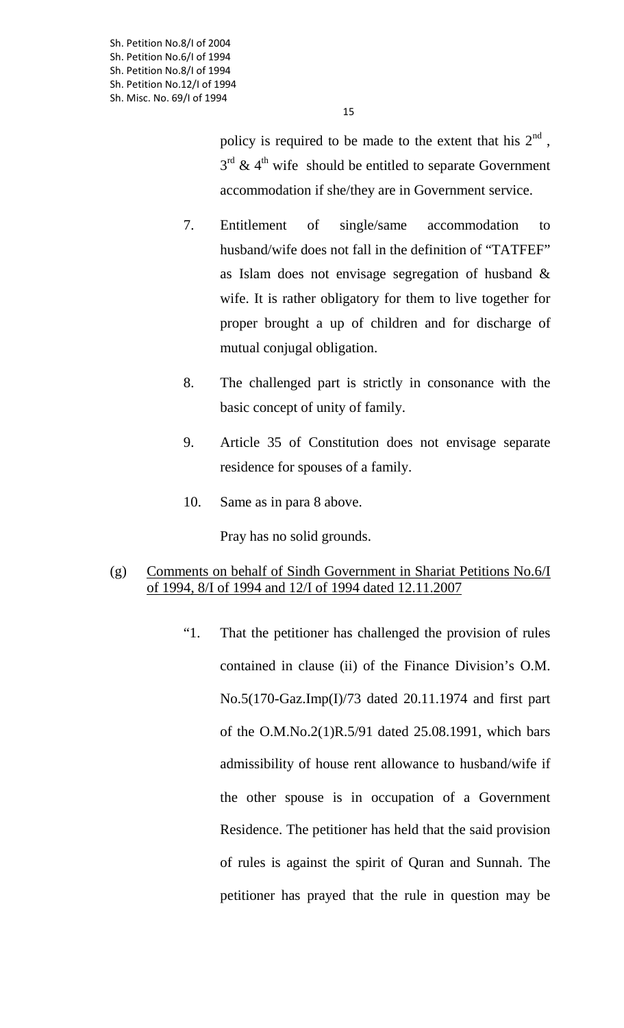Sh. Petition No.8/I of 2004 Sh. Petition No.6/I of 1994 Sh. Petition No.8/I of 1994 Sh. Petition No.12/I of 1994 Sh. Misc. No. 69/I of 1994

policy is required to be made to the extent that his  $2<sup>nd</sup>$ ,  $3<sup>rd</sup>$  & 4<sup>th</sup> wife should be entitled to separate Government accommodation if she/they are in Government service.

- 7. Entitlement of single/same accommodation to husband/wife does not fall in the definition of "TATFEF" as Islam does not envisage segregation of husband & wife. It is rather obligatory for them to live together for proper brought a up of children and for discharge of mutual conjugal obligation.
- 8. The challenged part is strictly in consonance with the basic concept of unity of family.
- 9. Article 35 of Constitution does not envisage separate residence for spouses of a family.
- 10. Same as in para 8 above.

Pray has no solid grounds.

# (g) Comments on behalf of Sindh Government in Shariat Petitions No.6/I of 1994, 8/I of 1994 and 12/I of 1994 dated 12.11.2007

"1. That the petitioner has challenged the provision of rules contained in clause (ii) of the Finance Division's O.M. No.5(170-Gaz.Imp(I)/73 dated 20.11.1974 and first part of the O.M.No.2(1)R.5/91 dated 25.08.1991, which bars admissibility of house rent allowance to husband/wife if the other spouse is in occupation of a Government Residence. The petitioner has held that the said provision of rules is against the spirit of Quran and Sunnah. The petitioner has prayed that the rule in question may be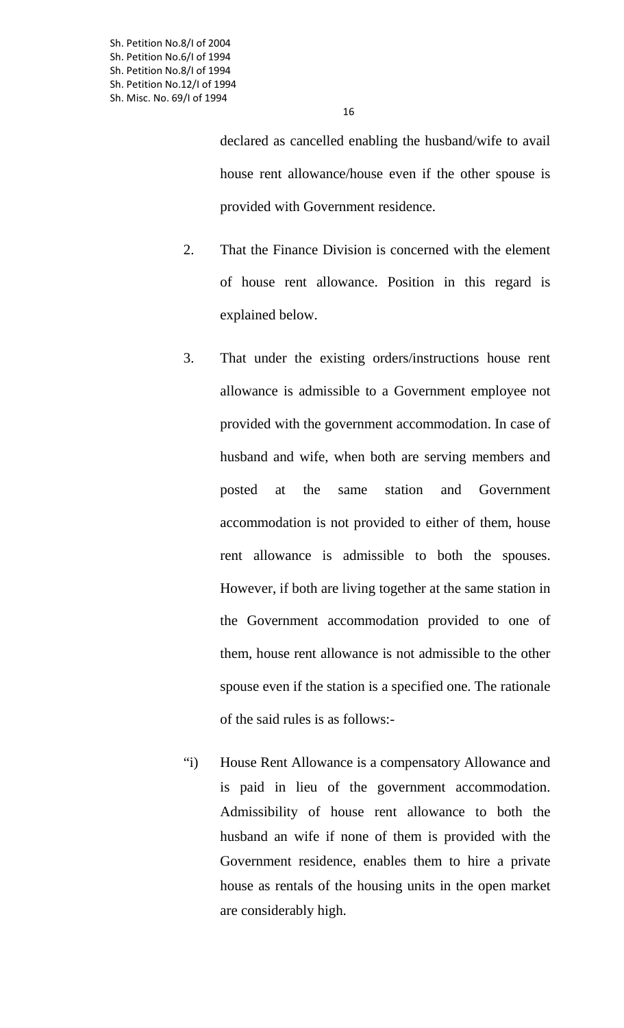declared as cancelled enabling the husband/wife to avail house rent allowance/house even if the other spouse is provided with Government residence.

- 2. That the Finance Division is concerned with the element of house rent allowance. Position in this regard is explained below.
- 3. That under the existing orders/instructions house rent allowance is admissible to a Government employee not provided with the government accommodation. In case of husband and wife, when both are serving members and posted at the same station and Government accommodation is not provided to either of them, house rent allowance is admissible to both the spouses. However, if both are living together at the same station in the Government accommodation provided to one of them, house rent allowance is not admissible to the other spouse even if the station is a specified one. The rationale of the said rules is as follows:-
- "i) House Rent Allowance is a compensatory Allowance and is paid in lieu of the government accommodation. Admissibility of house rent allowance to both the husband an wife if none of them is provided with the Government residence, enables them to hire a private house as rentals of the housing units in the open market are considerably high.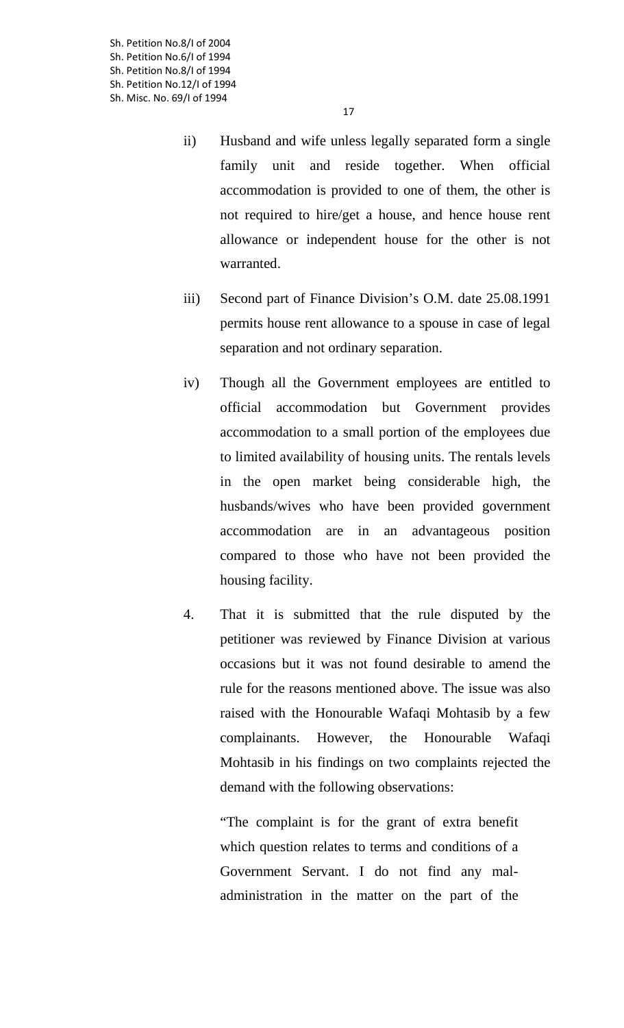Sh. Petition No.8/I of 2004 Sh. Petition No.6/I of 1994 Sh. Petition No.8/I of 1994 Sh. Petition No.12/I of 1994 Sh. Misc. No. 69/I of 1994

- ii) Husband and wife unless legally separated form a single family unit and reside together. When official accommodation is provided to one of them, the other is not required to hire/get a house, and hence house rent allowance or independent house for the other is not warranted.
- iii) Second part of Finance Division's O.M. date 25.08.1991 permits house rent allowance to a spouse in case of legal separation and not ordinary separation.
- iv) Though all the Government employees are entitled to official accommodation but Government provides accommodation to a small portion of the employees due to limited availability of housing units. The rentals levels in the open market being considerable high, the husbands/wives who have been provided government accommodation are in an advantageous position compared to those who have not been provided the housing facility.
- 4. That it is submitted that the rule disputed by the petitioner was reviewed by Finance Division at various occasions but it was not found desirable to amend the rule for the reasons mentioned above. The issue was also raised with the Honourable Wafaqi Mohtasib by a few complainants. However, the Honourable Wafaqi Mohtasib in his findings on two complaints rejected the demand with the following observations:

"The complaint is for the grant of extra benefit which question relates to terms and conditions of a Government Servant. I do not find any maladministration in the matter on the part of the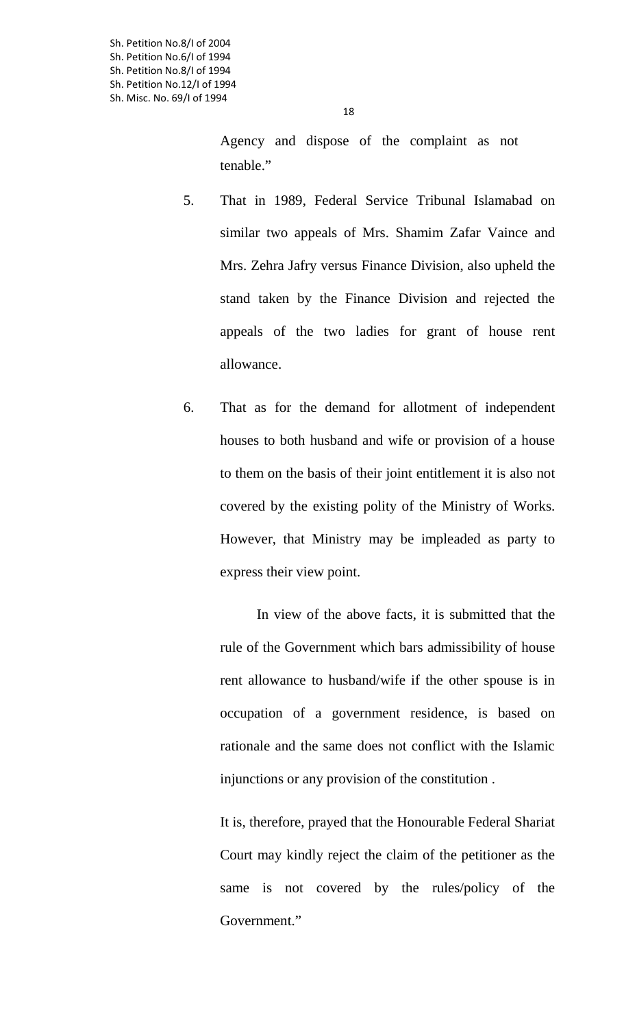18

Agency and dispose of the complaint as not tenable."

- 5. That in 1989, Federal Service Tribunal Islamabad on similar two appeals of Mrs. Shamim Zafar Vaince and Mrs. Zehra Jafry versus Finance Division, also upheld the stand taken by the Finance Division and rejected the appeals of the two ladies for grant of house rent allowance.
- 6. That as for the demand for allotment of independent houses to both husband and wife or provision of a house to them on the basis of their joint entitlement it is also not covered by the existing polity of the Ministry of Works. However, that Ministry may be impleaded as party to express their view point.

In view of the above facts, it is submitted that the rule of the Government which bars admissibility of house rent allowance to husband/wife if the other spouse is in occupation of a government residence, is based on rationale and the same does not conflict with the Islamic injunctions or any provision of the constitution .

It is, therefore, prayed that the Honourable Federal Shariat Court may kindly reject the claim of the petitioner as the same is not covered by the rules/policy of the Government."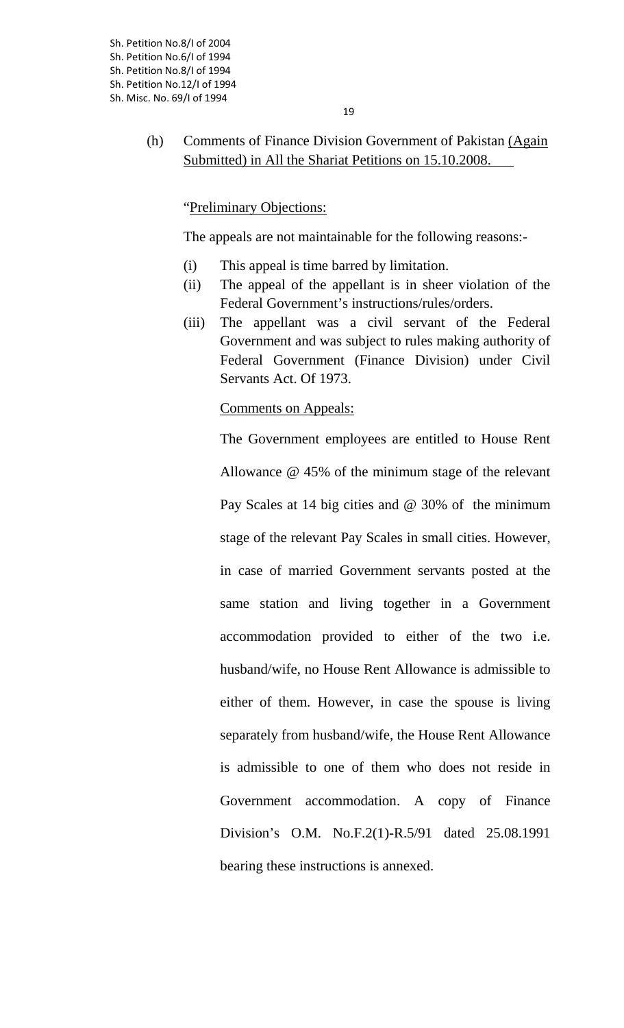# (h) Comments of Finance Division Government of Pakistan (Again Submitted) in All the Shariat Petitions on 15.10.2008.

"Preliminary Objections:

The appeals are not maintainable for the following reasons:-

- (i) This appeal is time barred by limitation.
- (ii) The appeal of the appellant is in sheer violation of the Federal Government's instructions/rules/orders.
- (iii) The appellant was a civil servant of the Federal Government and was subject to rules making authority of Federal Government (Finance Division) under Civil Servants Act. Of 1973.

Comments on Appeals:

The Government employees are entitled to House Rent Allowance @ 45% of the minimum stage of the relevant Pay Scales at 14 big cities and @ 30% of the minimum stage of the relevant Pay Scales in small cities. However, in case of married Government servants posted at the same station and living together in a Government accommodation provided to either of the two i.e. husband/wife, no House Rent Allowance is admissible to either of them. However, in case the spouse is living separately from husband/wife, the House Rent Allowance is admissible to one of them who does not reside in Government accommodation. A copy of Finance Division's O.M. No.F.2(1)-R.5/91 dated 25.08.1991 bearing these instructions is annexed.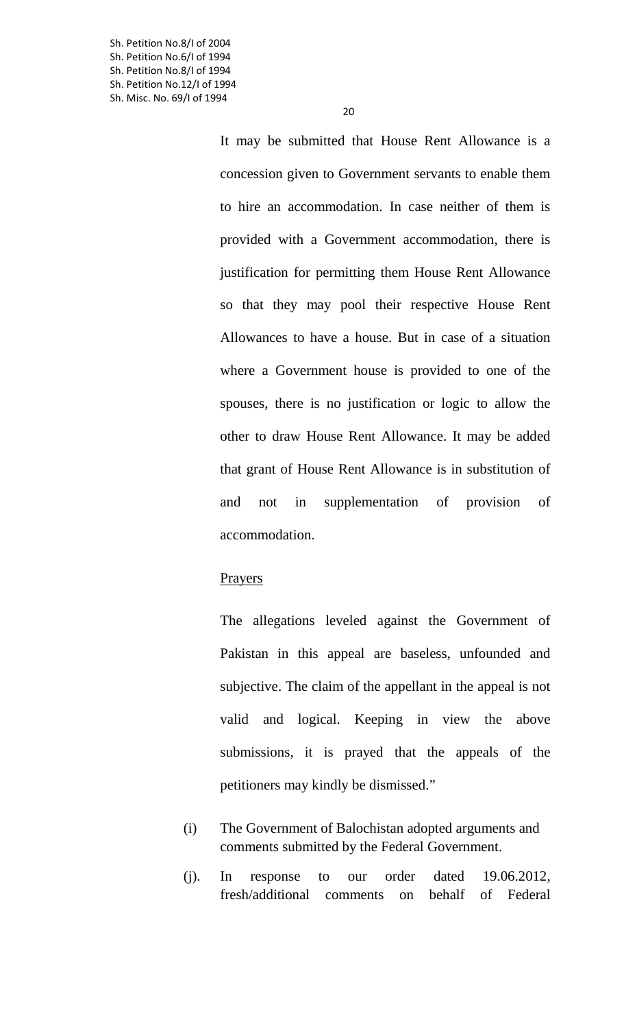Sh. Petition No.8/I of 2004 Sh. Petition No.6/I of 1994 Sh. Petition No.8/I of 1994 Sh. Petition No.12/I of 1994 Sh. Misc. No. 69/I of 1994

> It may be submitted that House Rent Allowance is a concession given to Government servants to enable them to hire an accommodation. In case neither of them is provided with a Government accommodation, there is justification for permitting them House Rent Allowance so that they may pool their respective House Rent Allowances to have a house. But in case of a situation where a Government house is provided to one of the spouses, there is no justification or logic to allow the other to draw House Rent Allowance. It may be added that grant of House Rent Allowance is in substitution of and not in supplementation of provision of accommodation.

#### Prayers

The allegations leveled against the Government of Pakistan in this appeal are baseless, unfounded and subjective. The claim of the appellant in the appeal is not valid and logical. Keeping in view the above submissions, it is prayed that the appeals of the petitioners may kindly be dismissed."

- (i) The Government of Balochistan adopted arguments and comments submitted by the Federal Government.
- (j). In response to our order dated 19.06.2012, fresh/additional comments on behalf of Federal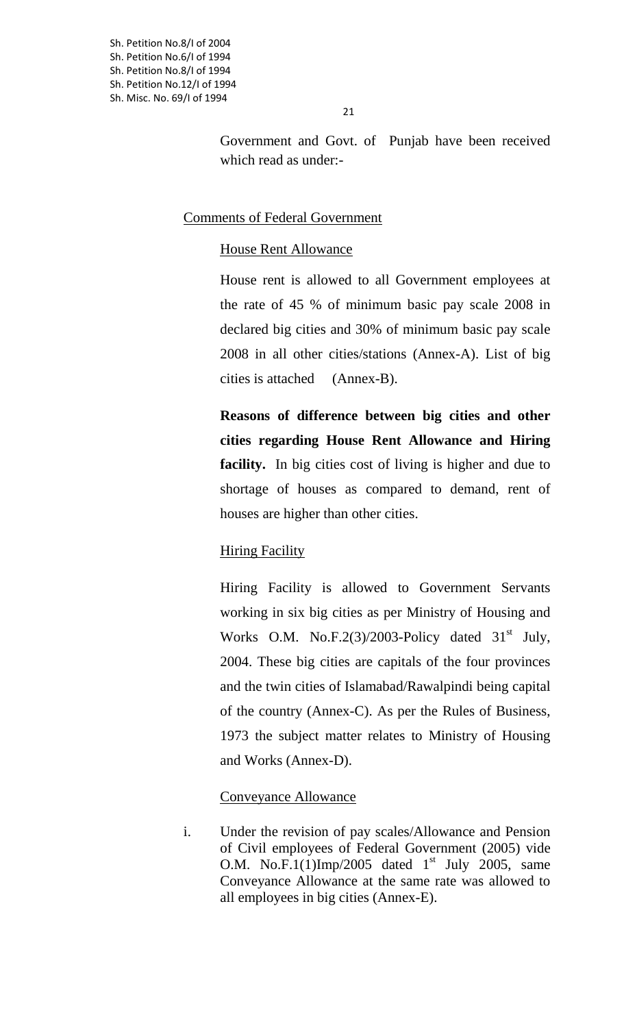Government and Govt. of Punjab have been received which read as under:-

## Comments of Federal Government

## House Rent Allowance

House rent is allowed to all Government employees at the rate of 45 % of minimum basic pay scale 2008 in declared big cities and 30% of minimum basic pay scale 2008 in all other cities/stations (Annex-A). List of big cities is attached (Annex-B).

**Reasons of difference between big cities and other cities regarding House Rent Allowance and Hiring facility.** In big cities cost of living is higher and due to shortage of houses as compared to demand, rent of houses are higher than other cities.

## **Hiring Facility**

Hiring Facility is allowed to Government Servants working in six big cities as per Ministry of Housing and Works O.M. No.F.2(3)/2003-Policy dated  $31<sup>st</sup>$  July, 2004. These big cities are capitals of the four provinces and the twin cities of Islamabad/Rawalpindi being capital of the country (Annex-C). As per the Rules of Business, 1973 the subject matter relates to Ministry of Housing and Works (Annex-D).

## Conveyance Allowance

i. Under the revision of pay scales/Allowance and Pension of Civil employees of Federal Government (2005) vide O.M. No.F.1(1)Imp/2005 dated  $1<sup>st</sup>$  July 2005, same Conveyance Allowance at the same rate was allowed to all employees in big cities (Annex-E).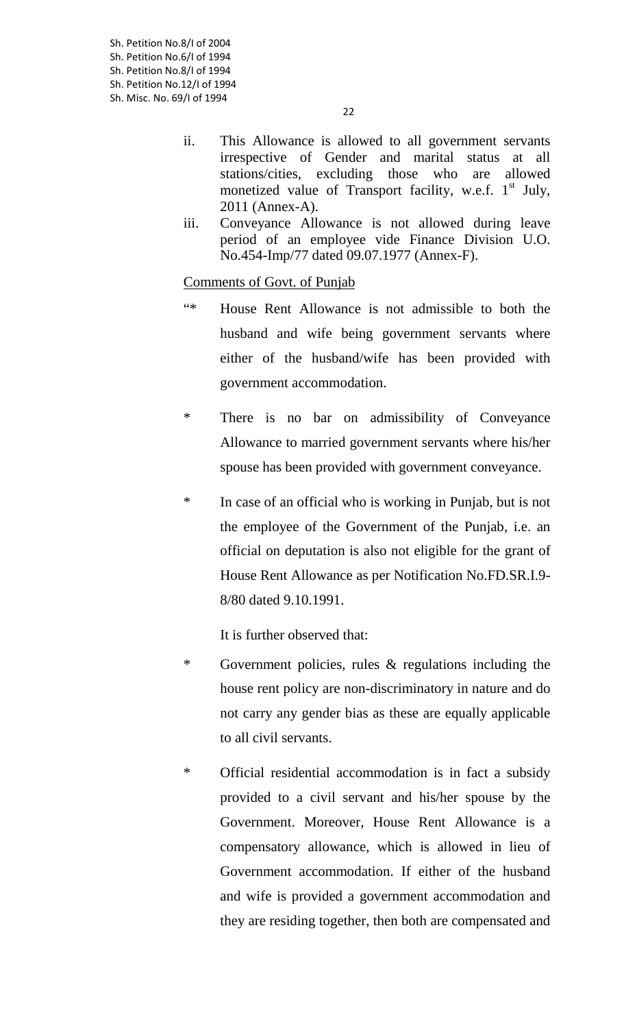- ii. This Allowance is allowed to all government servants irrespective of Gender and marital status at all stations/cities, excluding those who are allowed monetized value of Transport facility, w.e.f. 1<sup>st</sup> July, 2011 (Annex-A).
- iii. Conveyance Allowance is not allowed during leave period of an employee vide Finance Division U.O. No.454-Imp/77 dated 09.07.1977 (Annex-F).

## Comments of Govt. of Punjab

- "\* House Rent Allowance is not admissible to both the husband and wife being government servants where either of the husband/wife has been provided with government accommodation.
- \* There is no bar on admissibility of Conveyance Allowance to married government servants where his/her spouse has been provided with government conveyance.
- \* In case of an official who is working in Punjab, but is not the employee of the Government of the Punjab, i.e. an official on deputation is also not eligible for the grant of House Rent Allowance as per Notification No.FD.SR.I.9- 8/80 dated 9.10.1991.

It is further observed that:

- \* Government policies, rules & regulations including the house rent policy are non-discriminatory in nature and do not carry any gender bias as these are equally applicable to all civil servants.
- \* Official residential accommodation is in fact a subsidy provided to a civil servant and his/her spouse by the Government. Moreover, House Rent Allowance is a compensatory allowance, which is allowed in lieu of Government accommodation. If either of the husband and wife is provided a government accommodation and they are residing together, then both are compensated and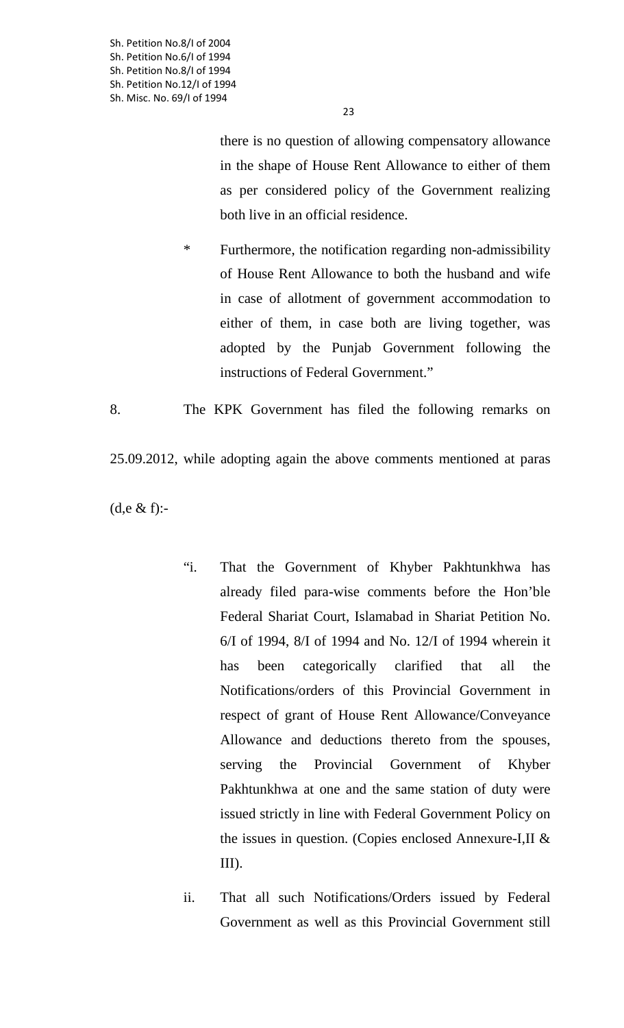23

there is no question of allowing compensatory allowance in the shape of House Rent Allowance to either of them as per considered policy of the Government realizing both live in an official residence.

\* Furthermore, the notification regarding non-admissibility of House Rent Allowance to both the husband and wife in case of allotment of government accommodation to either of them, in case both are living together, was adopted by the Punjab Government following the instructions of Federal Government."

8. The KPK Government has filed the following remarks on

25.09.2012, while adopting again the above comments mentioned at paras

(d,e & f):-

- "i. That the Government of Khyber Pakhtunkhwa has already filed para-wise comments before the Hon'ble Federal Shariat Court, Islamabad in Shariat Petition No. 6/I of 1994, 8/I of 1994 and No. 12/I of 1994 wherein it has been categorically clarified that all the Notifications/orders of this Provincial Government in respect of grant of House Rent Allowance/Conveyance Allowance and deductions thereto from the spouses, serving the Provincial Government of Khyber Pakhtunkhwa at one and the same station of duty were issued strictly in line with Federal Government Policy on the issues in question. (Copies enclosed Annexure-I,II & III).
- ii. That all such Notifications/Orders issued by Federal Government as well as this Provincial Government still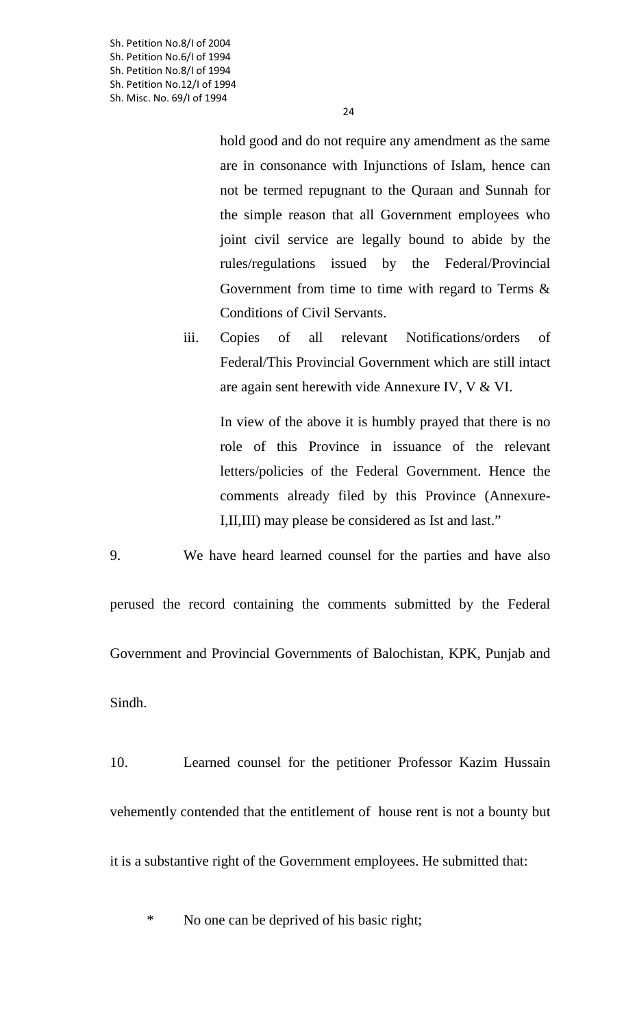Sh. Petition No.8/I of 2004 Sh. Petition No.6/I of 1994 Sh. Petition No.8/I of 1994 Sh. Petition No.12/I of 1994 Sh. Misc. No. 69/I of 1994

> hold good and do not require any amendment as the same are in consonance with Injunctions of Islam, hence can not be termed repugnant to the Quraan and Sunnah for the simple reason that all Government employees who joint civil service are legally bound to abide by the rules/regulations issued by the Federal/Provincial Government from time to time with regard to Terms & Conditions of Civil Servants.

iii. Copies of all relevant Notifications/orders of Federal/This Provincial Government which are still intact are again sent herewith vide Annexure IV, V & VI.

In view of the above it is humbly prayed that there is no role of this Province in issuance of the relevant letters/policies of the Federal Government. Hence the comments already filed by this Province (Annexure-I,II,III) may please be considered as Ist and last."

9. We have heard learned counsel for the parties and have also

perused the record containing the comments submitted by the Federal Government and Provincial Governments of Balochistan, KPK, Punjab and Sindh.

10. Learned counsel for the petitioner Professor Kazim Hussain vehemently contended that the entitlement of house rent is not a bounty but it is a substantive right of the Government employees. He submitted that:

\* No one can be deprived of his basic right;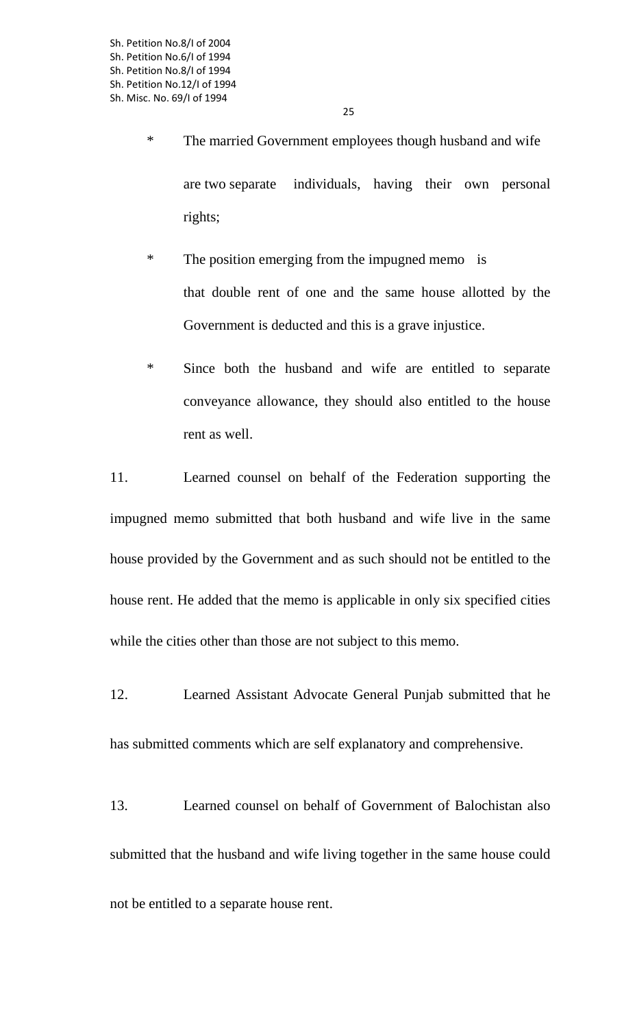- \* The married Government employees though husband and wife are two separate individuals, having their own personal rights;
- \* The position emerging from the impugned memo is that double rent of one and the same house allotted by the Government is deducted and this is a grave injustice.
- \* Since both the husband and wife are entitled to separate conveyance allowance, they should also entitled to the house rent as well.

11. Learned counsel on behalf of the Federation supporting the impugned memo submitted that both husband and wife live in the same house provided by the Government and as such should not be entitled to the house rent. He added that the memo is applicable in only six specified cities while the cities other than those are not subject to this memo.

- 12. Learned Assistant Advocate General Punjab submitted that he has submitted comments which are self explanatory and comprehensive.
- 13. Learned counsel on behalf of Government of Balochistan also submitted that the husband and wife living together in the same house could not be entitled to a separate house rent.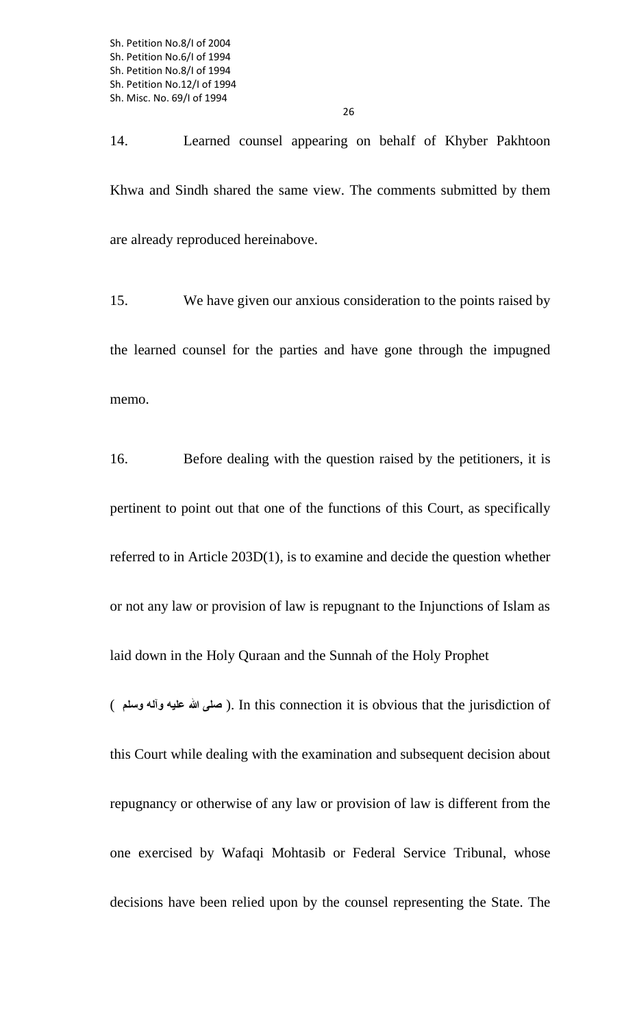14. Learned counsel appearing on behalf of Khyber Pakhtoon Khwa and Sindh shared the same view. The comments submitted by them are already reproduced hereinabove.

15. We have given our anxious consideration to the points raised by the learned counsel for the parties and have gone through the impugned memo.

16. Before dealing with the question raised by the petitioners, it is pertinent to point out that one of the functions of this Court, as specifically referred to in Article 203D(1), is to examine and decide the question whether or not any law or provision of law is repugnant to the Injunctions of Islam as laid down in the Holy Quraan and the Sunnah of the Holy Prophet

( **وسلم وآله عليه الله صلى**( . In this connection it is obvious that the jurisdiction of this Court while dealing with the examination and subsequent decision about repugnancy or otherwise of any law or provision of law is different from the one exercised by Wafaqi Mohtasib or Federal Service Tribunal, whose decisions have been relied upon by the counsel representing the State. The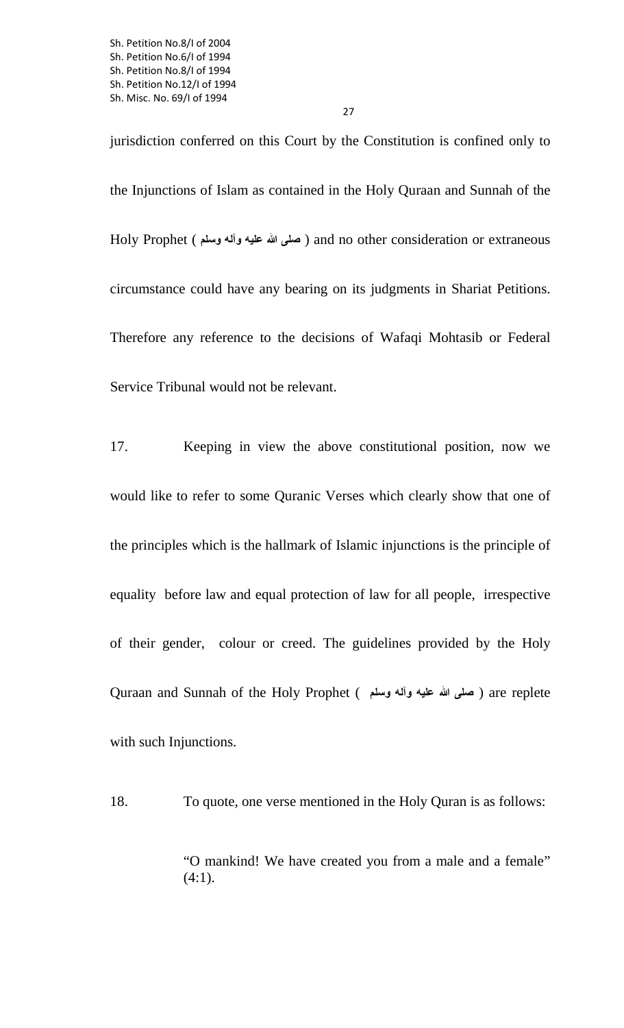jurisdiction conferred on this Court by the Constitution is confined only to the Injunctions of Islam as contained in the Holy Quraan and Sunnah of the Holy Prophet ( **وسلم وآله عليه الله صلى** ( and no other consideration or extraneous circumstance could have any bearing on its judgments in Shariat Petitions. Therefore any reference to the decisions of Wafaqi Mohtasib or Federal Service Tribunal would not be relevant.

17. Keeping in view the above constitutional position, now we would like to refer to some Quranic Verses which clearly show that one of the principles which is the hallmark of Islamic injunctions is the principle of equality before law and equal protection of law for all people, irrespective of their gender, colour or creed. The guidelines provided by the Holy Quraan and Sunnah of the Holy Prophet ( **وسلم وآله عليه الله صلى** ( are replete with such Injunctions.

18. To quote, one verse mentioned in the Holy Quran is as follows:

"O mankind! We have created you from a male and a female"  $(4:1)$ .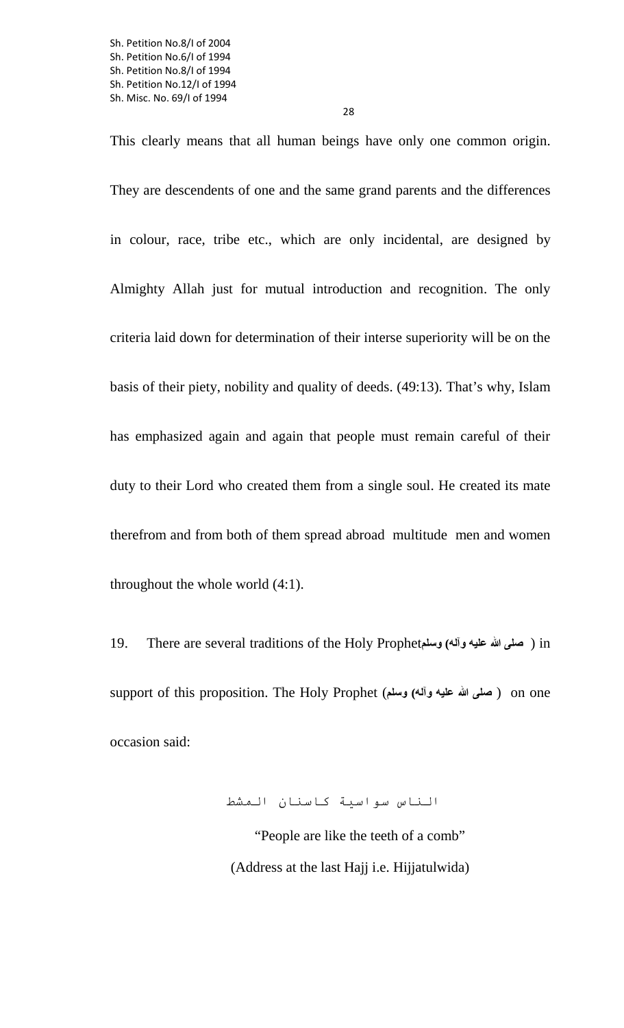This clearly means that all human beings have only one common origin. They are descendents of one and the same grand parents and the differences in colour, race, tribe etc., which are only incidental, are designed by Almighty Allah just for mutual introduction and recognition. The only criteria laid down for determination of their interse superiority will be on the basis of their piety, nobility and quality of deeds. (49:13). That's why, Islam has emphasized again and again that people must remain careful of their duty to their Lord who created them from a single soul. He created its mate therefrom and from both of them spread abroad multitude men and women throughout the whole world (4:1).

19. There are several traditions of the Holy Prophet**وسلم) وآله عليه الله صلى** ( in support of this proposition. The Holy Prophet (**وسلم) وآله عليه الله صلى** ( on one occasion said:

الناس سواسية كاسنان المشط

 "People are like the teeth of a comb" (Address at the last Hajj i.e. Hijjatulwida)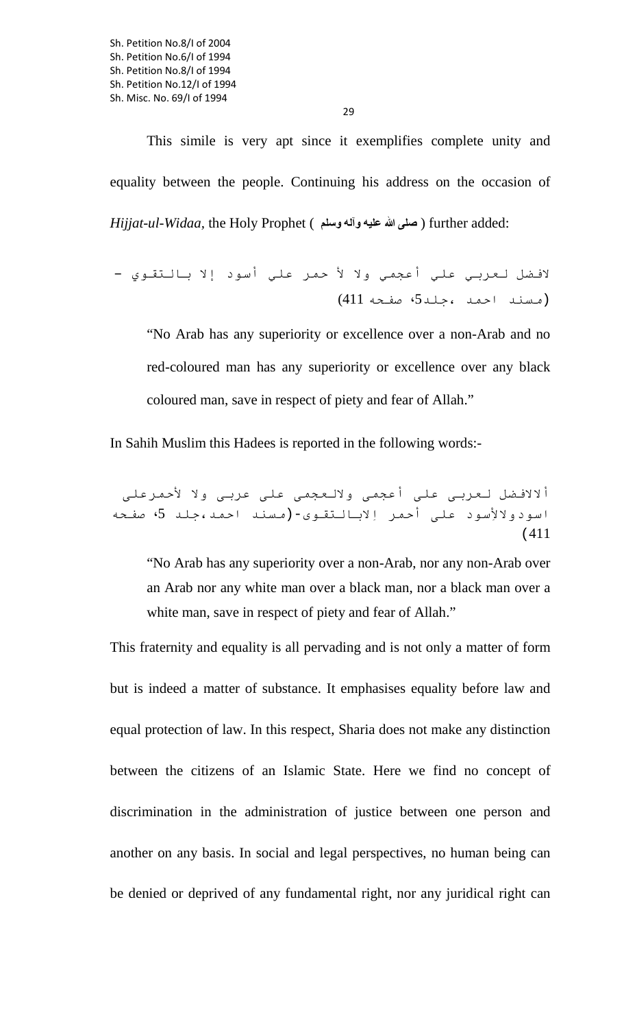Sh. Petition No.8/I of 2004 Sh. Petition No.6/I of 1994 Sh. Petition No.8/I of 1994 Sh. Petition No.12/I of 1994 Sh. Misc. No. 69/I of 1994

29

This simile is very apt since it exemplifies complete unity and equality between the people. Continuing his address on the occasion of *Hijjat-ul-Widaa,* the Holy Prophet ( **وسلم وآله عليه الله صلى** ( further added:

لافضل لعربي علي أعجمي ولا لأ حمر علي أسود إلا بالتقوي – (مسند احمد ،جلد،5 صفحه 411)

"No Arab has any superiority or excellence over a non-Arab and no red-coloured man has any superiority or excellence over any black coloured man, save in respect of piety and fear of Allah."

In Sahih Muslim this Hadees is reported in the following words:-

ألالافضل لعربی علی أعجمی ولالعجمی علی عربی ولا لأحمرعلی اسودولالأِسود علی أحمر اِلابالتقوى-(مسند احمد،جلد ،5 صفحه (411

"No Arab has any superiority over a non-Arab, nor any non-Arab over an Arab nor any white man over a black man, nor a black man over a white man, save in respect of piety and fear of Allah."

This fraternity and equality is all pervading and is not only a matter of form but is indeed a matter of substance. It emphasises equality before law and equal protection of law. In this respect, Sharia does not make any distinction between the citizens of an Islamic State. Here we find no concept of discrimination in the administration of justice between one person and another on any basis. In social and legal perspectives, no human being can be denied or deprived of any fundamental right, nor any juridical right can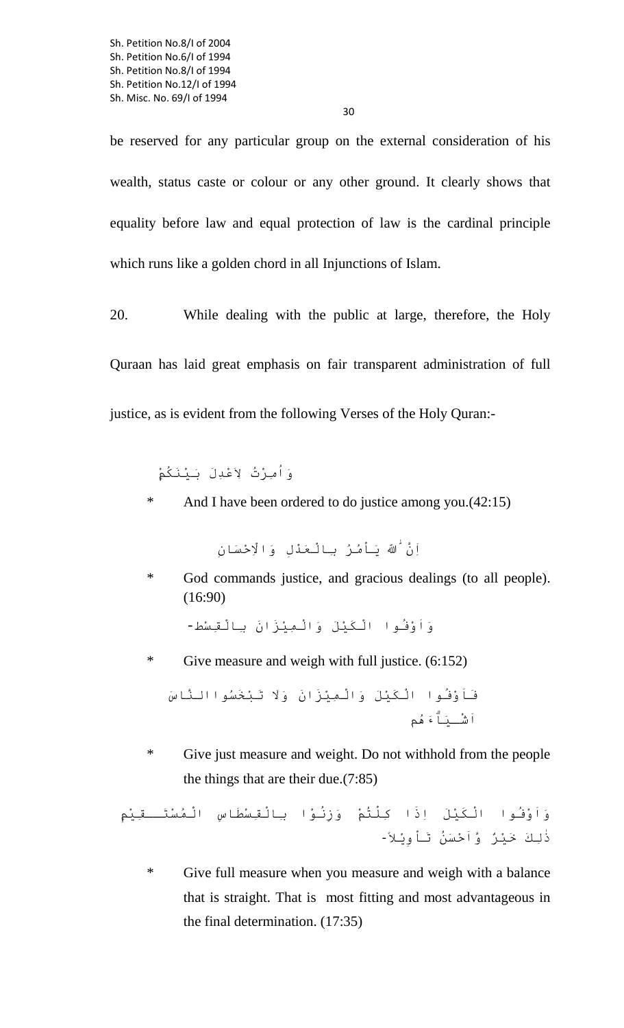be reserved for any particular group on the external consideration of his wealth, status caste or colour or any other ground. It clearly shows that equality before law and equal protection of law is the cardinal principle which runs like a golden chord in all Injunctions of Islam.

20. While dealing with the public at large, therefore, the Holy Quraan has laid great emphasis on fair transparent administration of full justice, as is evident from the following Verses of the Holy Quran:-

وَاُمِرْتُ ِ لاَعْدَِل َ بيْنَكُمْۭ

\* And I have been ordered to do justice among you.(42:15)

اِنَّ اٰللَّه بَـاْمُـرُ بِـالْـعَـٰدْلِ وَالْاِحْسَانِ

\* God commands justice, and gracious dealings (to all people). (16:90)

وَاَوْفُوا ْالكَيْلَ وَ ْالمِيْ َ زَان بِ ْالقِسْط-

\* Give measure and weigh with full justice. (6:152)

فَاَوْفُ ْ وا الكَيْلَ وَ ْالمِيْ َ زَان وََلا َ تبْخَسُواالنَّاسَ اَشْـيَاَۗءُهم

\* Give just measure and weight. Do not withhold from the people the things that are their due.(7:85)

.<br>وَاَوْفُـوا الْـكَيْلَ اِذَا كِلْتُمْ وَزِنُـوْا بِالْقِسْطَاسِ الْـمُسْتَـــقِيْمِ ذِٰلكَ خَيْرٌ وَّاَحْسَنُ َ تاْوِْيلا-ً

\* Give full measure when you measure and weigh with a balance that is straight. That is most fitting and most advantageous in the final determination. (17:35)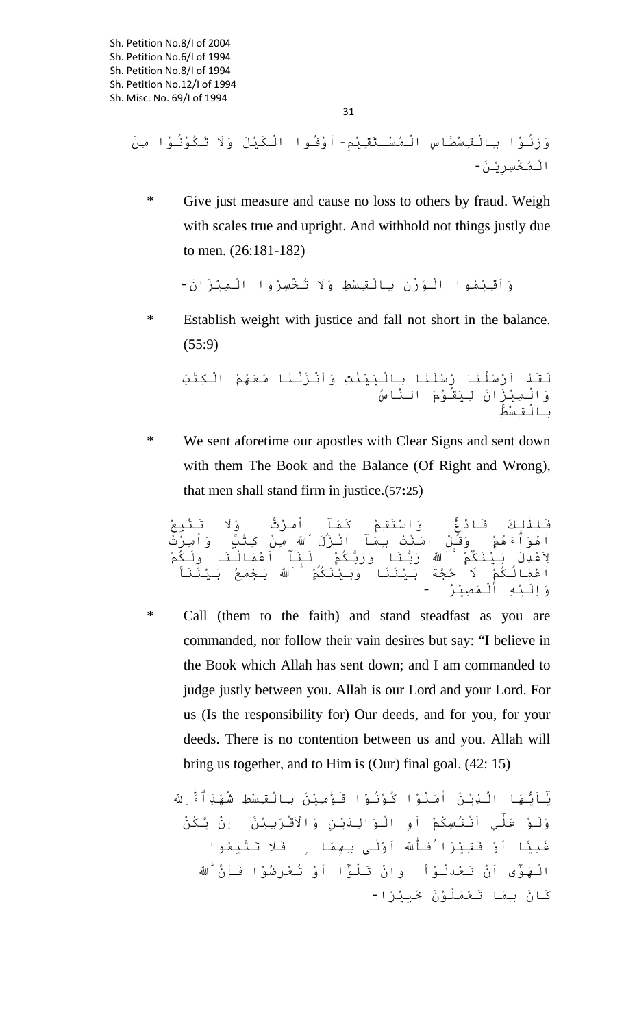وَزِنُوْا بِالْقِسْطَاسِ الْمُسْـتَقِيْم-ِ اَوْفُوا الْكَيْلَ وَلَا تَكُوْنُوْا مِنَ ْالمُخْسِرِْين-َ

\* Give just measure and cause no loss to others by fraud. Weigh with scales true and upright. And withhold not things justly due to men. (26:181-182)

وَاَقِيْمُوا الْوَزْنَ بِالْقِسْطِ وَلَا تُخْسِرُوا الْمِيْزَانَ-

\* Establish weight with justice and fall not short in the balance. (55:9)

َلقَْد اَرْسَْلنَا رُسَُلنَا بِ ْالبَيِّنٰتِ وَاَْن ْزَلنَ َ ا معَُهمُ ْ الكِتٰبَ وَ ْالمِيْ َ زَان ِ ليَقُوْمَ النَّاسُ بِ ْالقِسْطِ ۚ

\* We sent aforetime our apostles with Clear Signs and sent down with them The Book and the Balance (Of Right and Wrong), that men shall stand firm in justice.(57**:**25)

فَلِٰذِلكَ فَ ْادعُ ۚ وَاسْتَقِمْ كَمَٓا اُمِرْتَ ۚ وََلا َ تتَّبِعْ اَْهوَاَۗءُهمْ ۭ وَقُلْ اَٰمنْتُ بِمَٓا اَْن َزَل اّٰ ُ مِنْ كِتٰبٍ ۚ وَاُمِرْتُ بكُمْ َ ۭ لنَٓا اَعْمَ ُالنَا وََلكُمْ بنَا وَرَُّ عْدِلَ بعْدِلَ ب يْنَكُمْ ۭ هلل اّٰيْنَكُمْ ۭ هللُ رَُّ اَعْمَ ُالكُمْۭ َلا حُجََّة َ بيْنَ وَبَيْنَكُمْ ۭ هلل اّٰ وَبَيْنَكُمْ ۭ هللَ ُ يجْمَعُ َ بيْنَنَا ۚ وَاَِليْهِ ْ المَصِيْرُ -

\* Call (them to the faith) and stand steadfast as you are commanded, nor follow their vain desires but say: "I believe in the Book which Allah has sent down; and I am commanded to judge justly between you. Allah is our Lord and your Lord. For us (Is the responsibility for) Our deeds, and for you, for your deeds. There is no contention between us and you. Allah will bring us together, and to Him is (Our) final goal. (42: 15)

يَه َّ ا الذِْينَ اَٰمنُوْا كُوُْنوْا قَوّٰمِيْنَ بِ ْالقِسْطِ شَُهَداَۗء اللهِّٰ ِ ٰيٓاَُّ وََلوْ عَٰل اِْن َّ يكُنْ ٓي اَْنفُسِكُمْ اَوِ ْ الوَ ِالَدْينِ وَ ْالاَقْرَبِيْنَۚ غَنِي�ا اَوْ فَقِيْرًا فَااللهّٰ ُ اَوْٰلى بِهِمَا ۣ فََلا َ تتَّبِعُوا هَوٰٓى اَنْ تَعْدِلُوْا ۚ وَاِنْ تَلْوٓٗااَوْ تُعْرِضُوهَوٰٓى اَنْ تَعْدِلُوْا ۚ وَاِنْ تَلْوٓٗا اَوْ تُعْرِضُوْ ا فَاِنَّ هلا فَاِنَّ ه اّٰ َ كَ َان بِمَ َ ا تعْمَُلوَْن خَبِيْرًا-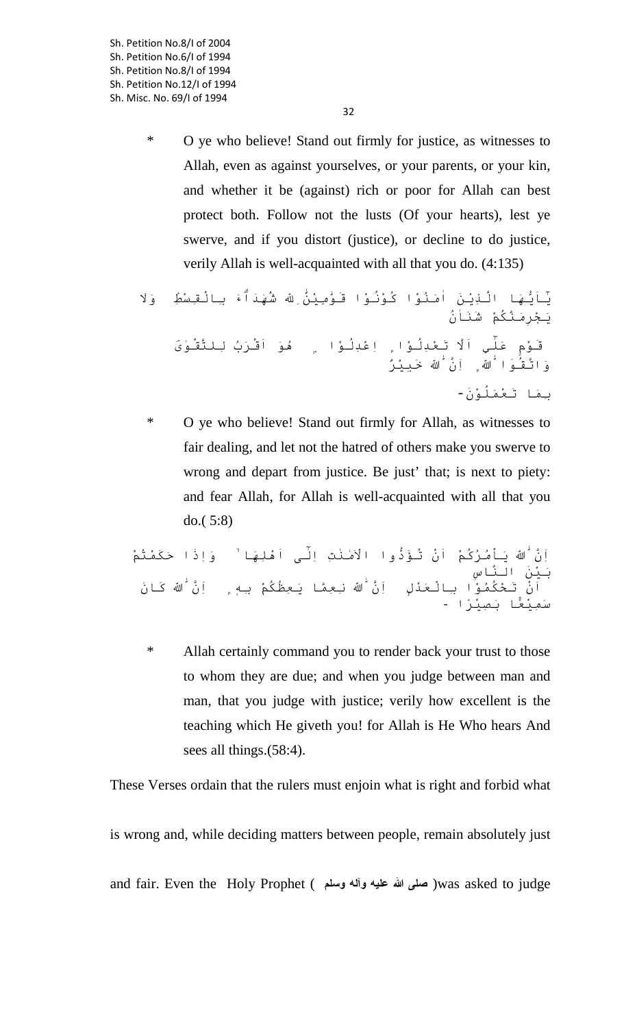Sh. Petition No.8/I of 2004 Sh. Petition No.6/I of 1994 Sh. Petition No.8/I of 1994 Sh. Petition No.12/I of 1994 Sh. Misc. No. 69/I of 1994

> \* O ye who believe! Stand out firmly for justice, as witnesses to Allah, even as against yourselves, or your parents, or your kin, and whether it be (against) rich or poor for Allah can best protect both. Follow not the lusts (Of your hearts), lest ye swerve, and if you distort (justice), or decline to do justice, verily Allah is well-acquainted with all that you do. (4:135)

يَه َّ ا الذِْينَ اَٰمنُوْا كُوُْنوْا قَوّٰمِيْن اللهَِّٰ ِ شَُهَداَۗء بِ ْالقِسْطِ ۡ وََلا ٰيٓاَُّ َيجْرَِمنَّكُمْ شَنَاُٰن قَوْمٍ عَٰل ِللتَّقْوٰى ۡ ٓي اََّلا َ تعْدُِلوْا ۭ اِعْدُِلوْ ُ ا ۣ هوَ اَقْرَبُ ُوا هللاَّٰ ۭاِنَّ ههللاَّٰ ۭاِنَّ ه اّٰ َ خَبِيْرٌ بِمَ َ ا تعْمَُلوَْن-

\* O ye who believe! Stand out firmly for Allah, as witnesses to fair dealing, and let not the hatred of others make you swerve to wrong and depart from justice. Be just' that; is next to piety: and fear Allah, for Allah is well-acquainted with all that you do.( 5:8)

<sup>د</sup> ْ وا الاَٰمنٰتِ اِٰلٓ ى اَْهلَِها ۙ وَاِذَا حَكَمْتُمْ َّ هلَّ ه اّٰ َ َ ياُْمرُكُمْ اَْن ُ تؤَُّ اَْن مُوْ ا بِالْعَدْلِ ۭ اِنَّ هللاَّٰ نِعِمَّا يَعِظُكُ مْ بِهٖ ۭ اِنَّ هلاِنَّ ه اّٰ َ كَ َان َبيْنَ النَّاسِ سَمِيْعًۢ َ ا بصِيْرًا -

\* Allah certainly command you to render back your trust to those to whom they are due; and when you judge between man and man, that you judge with justice; verily how excellent is the teaching which He giveth you! for Allah is He Who hears And sees all things.(58:4).

These Verses ordain that the rulers must enjoin what is right and forbid what

is wrong and, while deciding matters between people, remain absolutely just and fair. Even the Holy Prophet ( **وسلم وآله عليه الله صلى**( was asked to judge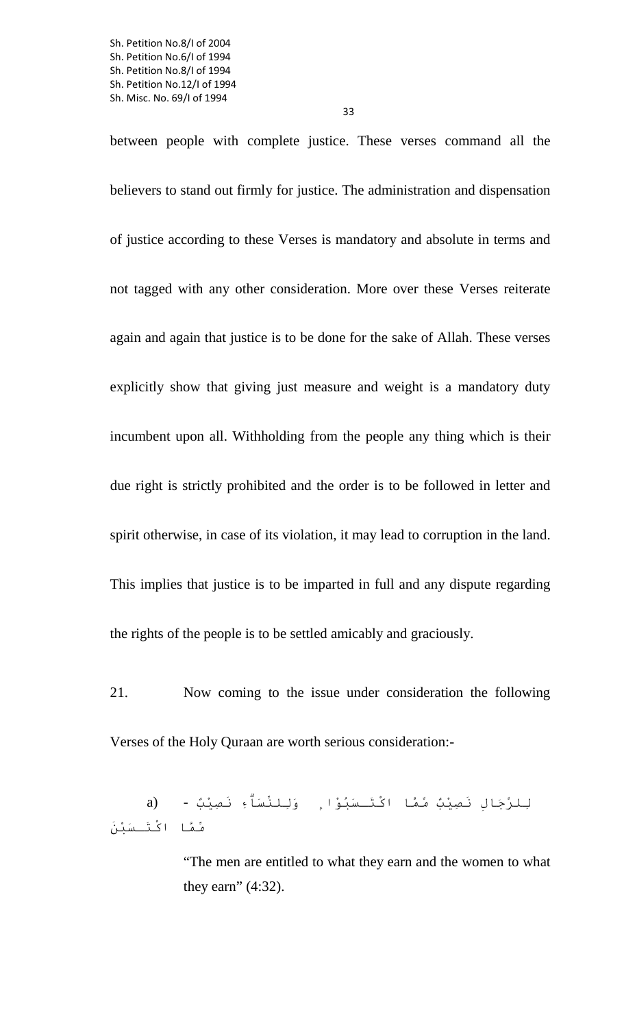between people with complete justice. These verses command all the believers to stand out firmly for justice. The administration and dispensation of justice according to these Verses is mandatory and absolute in terms and not tagged with any other consideration. More over these Verses reiterate again and again that justice is to be done for the sake of Allah. These verses explicitly show that giving just measure and weight is a mandatory duty incumbent upon all. Withholding from the people any thing which is their due right is strictly prohibited and the order is to be followed in letter and spirit otherwise, in case of its violation, it may lead to corruption in the land. This implies that justice is to be imparted in full and any dispute regarding the rights of the people is to be settled amicably and graciously.

21. Now coming to the issue under consideration the following Verses of the Holy Quraan are worth serious consideration:-

ِللرِّجَالِ نَصِيْبٌ ِّ ممَّا اكْتَـسَبُوْا ۭ وَِللنِّسَاِۗء نَصِيْبٌ - (a ِّممَّا اكْتَـسَبْنَ

> "The men are entitled to what they earn and the women to what they earn" (4:32).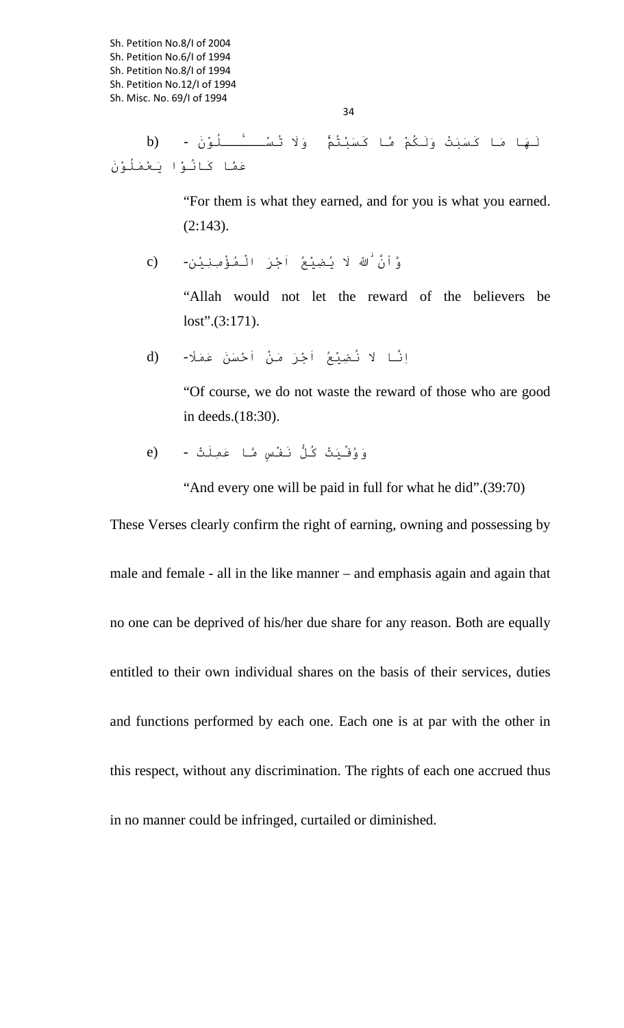34

َلَه َ ا ما كَسَبَتْ وََلكُمْ َّما كَسَبْتُمْ ۚ وََلا ُ تسْ ُ ـــ�ــلوَْن - (b عَمَّا كَانُوْا يَعْمَلُوْنَ

> "For them is what they earned, and for you is what you earned. (2:143).

َنَّ هلَنَّ ه اّٰ َ َ لا ُ يضِيْعُ اَجْرَ ْ المُؤْمِنِيْن- (c

"Allah would not let the reward of the believers be lost".(3:171).

اَِّن َ ا لا ُ نضِيْعُ اَجْرَ َ منْ اَحْسَنَ عَمًَلا- (d

"Of course, we do not waste the reward of those who are good in deeds.(18:30).

وَوُفِّيَتْ كُلُّ نَفْسٍ َّ ما عَمَِلتْ - (e

"And every one will be paid in full for what he did".(39:70)

These Verses clearly confirm the right of earning, owning and possessing by male and female - all in the like manner – and emphasis again and again that no one can be deprived of his/her due share for any reason. Both are equally entitled to their own individual shares on the basis of their services, duties and functions performed by each one. Each one is at par with the other in this respect, without any discrimination. The rights of each one accrued thus in no manner could be infringed, curtailed or diminished.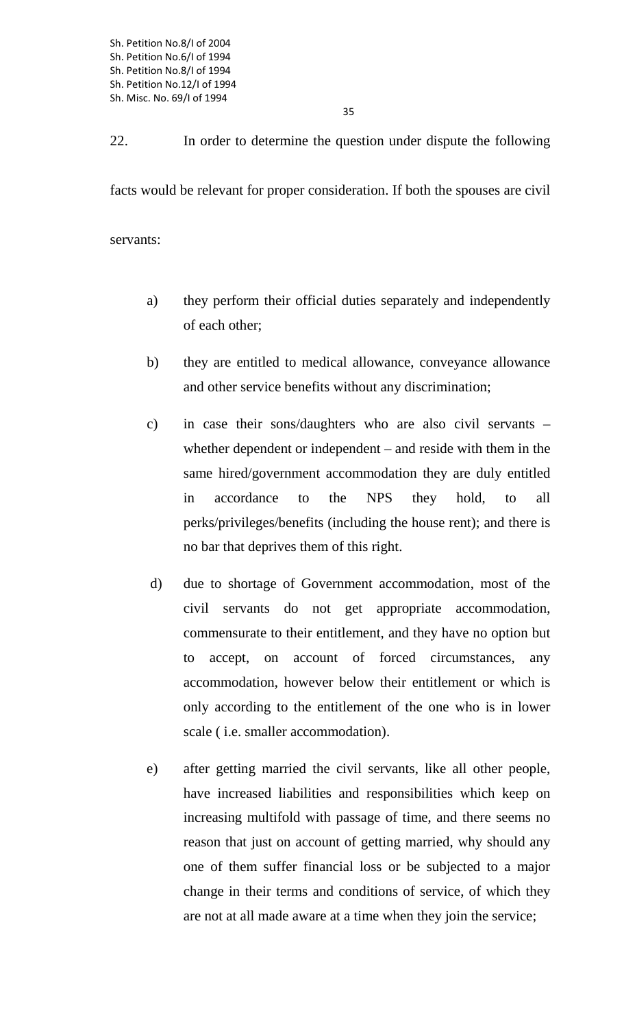35

22. In order to determine the question under dispute the following facts would be relevant for proper consideration. If both the spouses are civil servants:

- a) they perform their official duties separately and independently of each other;
- b) they are entitled to medical allowance, conveyance allowance and other service benefits without any discrimination;
- c) in case their sons/daughters who are also civil servants whether dependent or independent – and reside with them in the same hired/government accommodation they are duly entitled in accordance to the NPS they hold, to all perks/privileges/benefits (including the house rent); and there is no bar that deprives them of this right.
- d) due to shortage of Government accommodation, most of the civil servants do not get appropriate accommodation, commensurate to their entitlement, and they have no option but to accept, on account of forced circumstances, any accommodation, however below their entitlement or which is only according to the entitlement of the one who is in lower scale ( i.e. smaller accommodation).
- e) after getting married the civil servants, like all other people, have increased liabilities and responsibilities which keep on increasing multifold with passage of time, and there seems no reason that just on account of getting married, why should any one of them suffer financial loss or be subjected to a major change in their terms and conditions of service, of which they are not at all made aware at a time when they join the service;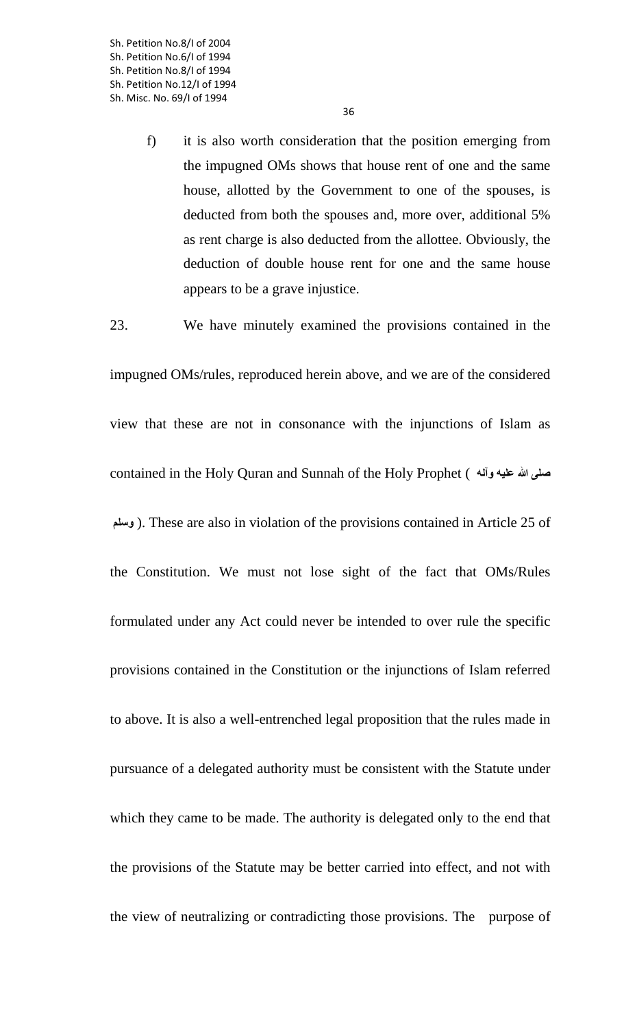f) it is also worth consideration that the position emerging from the impugned OMs shows that house rent of one and the same house, allotted by the Government to one of the spouses, is deducted from both the spouses and, more over, additional 5% as rent charge is also deducted from the allottee. Obviously, the deduction of double house rent for one and the same house appears to be a grave injustice.

23. We have minutely examined the provisions contained in the

impugned OMs/rules, reproduced herein above, and we are of the considered view that these are not in consonance with the injunctions of Islam as contained in the Holy Quran and Sunnah of the Holy Prophet ( **وآله عليه الله صلى وسلم**( . These are also in violation of the provisions contained in Article 25 of the Constitution. We must not lose sight of the fact that OMs/Rules formulated under any Act could never be intended to over rule the specific provisions contained in the Constitution or the injunctions of Islam referred to above. It is also a well-entrenched legal proposition that the rules made in pursuance of a delegated authority must be consistent with the Statute under which they came to be made. The authority is delegated only to the end that the provisions of the Statute may be better carried into effect, and not with the view of neutralizing or contradicting those provisions. The purpose of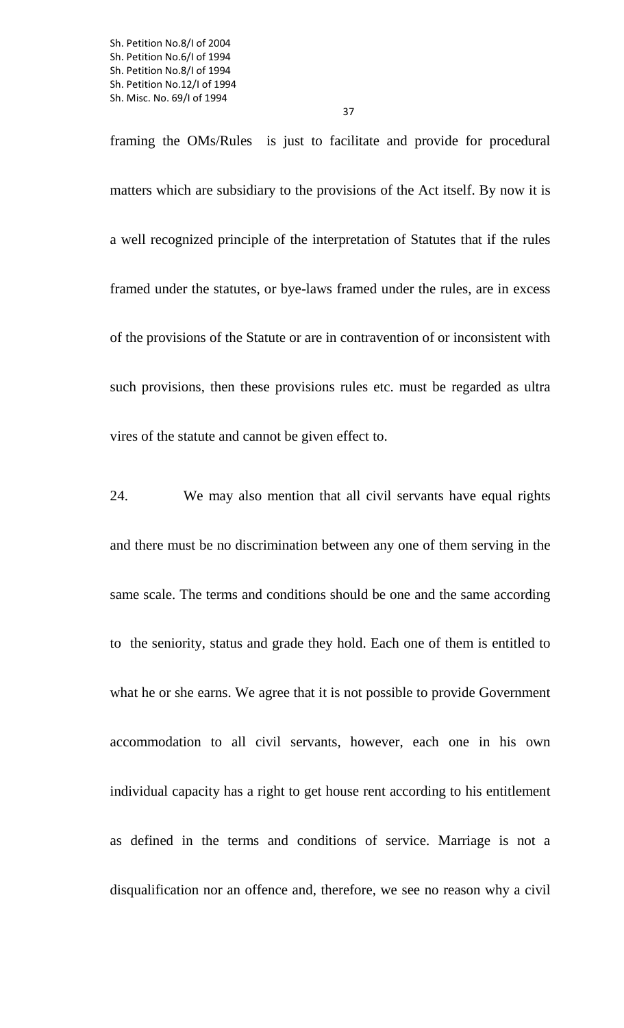framing the OMs/Rules is just to facilitate and provide for procedural matters which are subsidiary to the provisions of the Act itself. By now it is a well recognized principle of the interpretation of Statutes that if the rules framed under the statutes, or bye-laws framed under the rules, are in excess of the provisions of the Statute or are in contravention of or inconsistent with such provisions, then these provisions rules etc. must be regarded as ultra vires of the statute and cannot be given effect to.

24. We may also mention that all civil servants have equal rights and there must be no discrimination between any one of them serving in the same scale. The terms and conditions should be one and the same according to the seniority, status and grade they hold. Each one of them is entitled to what he or she earns. We agree that it is not possible to provide Government accommodation to all civil servants, however, each one in his own individual capacity has a right to get house rent according to his entitlement as defined in the terms and conditions of service. Marriage is not a disqualification nor an offence and, therefore, we see no reason why a civil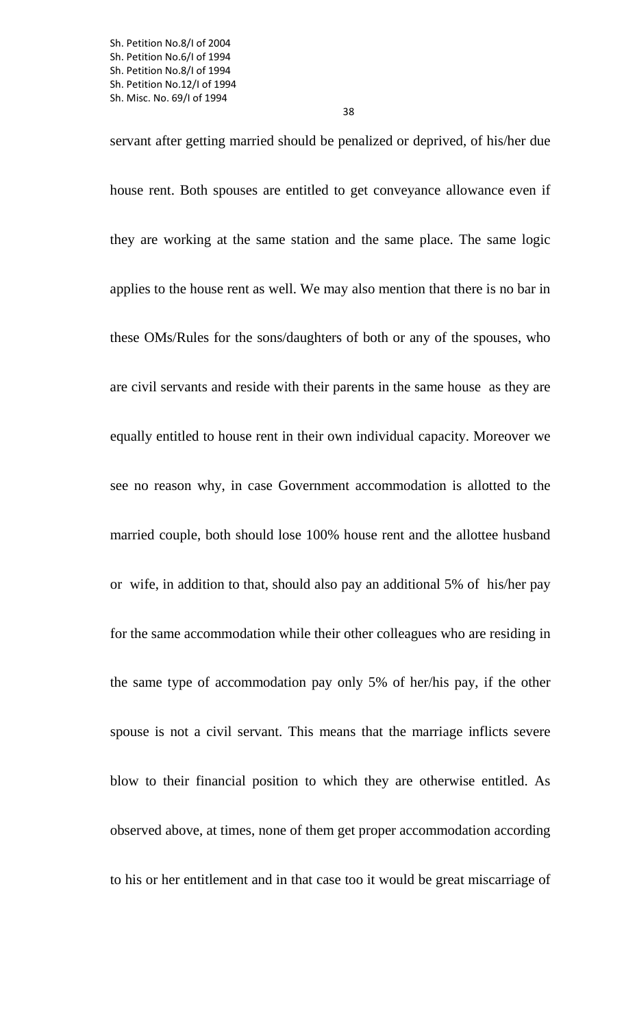servant after getting married should be penalized or deprived, of his/her due house rent. Both spouses are entitled to get conveyance allowance even if they are working at the same station and the same place. The same logic applies to the house rent as well. We may also mention that there is no bar in these OMs/Rules for the sons/daughters of both or any of the spouses, who are civil servants and reside with their parents in the same house as they are equally entitled to house rent in their own individual capacity. Moreover we see no reason why, in case Government accommodation is allotted to the married couple, both should lose 100% house rent and the allottee husband or wife, in addition to that, should also pay an additional 5% of his/her pay for the same accommodation while their other colleagues who are residing in the same type of accommodation pay only 5% of her/his pay, if the other spouse is not a civil servant. This means that the marriage inflicts severe blow to their financial position to which they are otherwise entitled. As observed above, at times, none of them get proper accommodation according to his or her entitlement and in that case too it would be great miscarriage of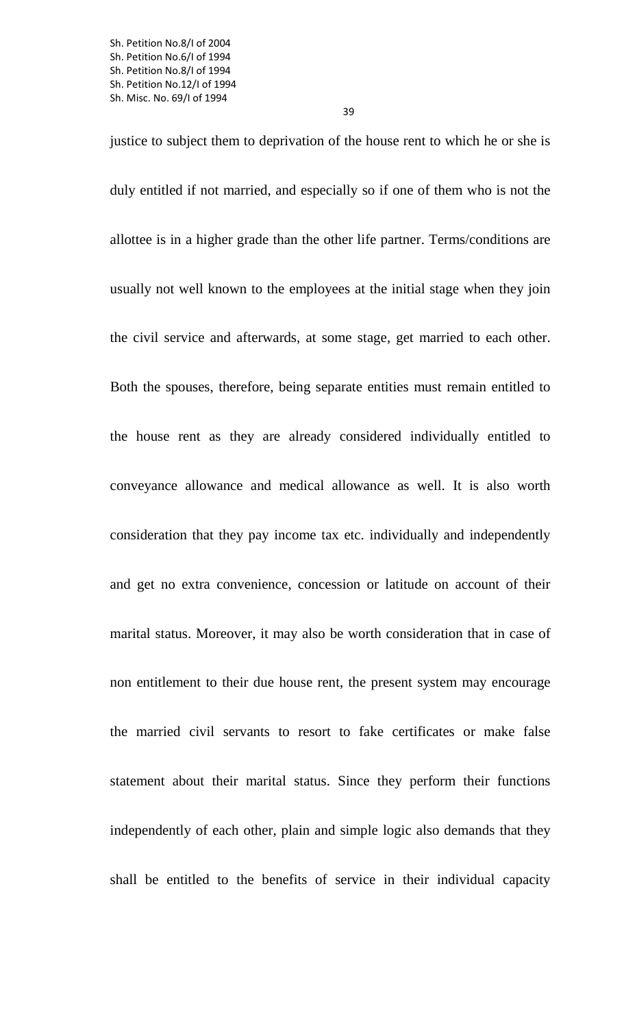justice to subject them to deprivation of the house rent to which he or she is duly entitled if not married, and especially so if one of them who is not the allottee is in a higher grade than the other life partner. Terms/conditions are usually not well known to the employees at the initial stage when they join the civil service and afterwards, at some stage, get married to each other. Both the spouses, therefore, being separate entities must remain entitled to the house rent as they are already considered individually entitled to conveyance allowance and medical allowance as well. It is also worth consideration that they pay income tax etc. individually and independently and get no extra convenience, concession or latitude on account of their marital status. Moreover, it may also be worth consideration that in case of non entitlement to their due house rent, the present system may encourage the married civil servants to resort to fake certificates or make false statement about their marital status. Since they perform their functions independently of each other, plain and simple logic also demands that they shall be entitled to the benefits of service in their individual capacity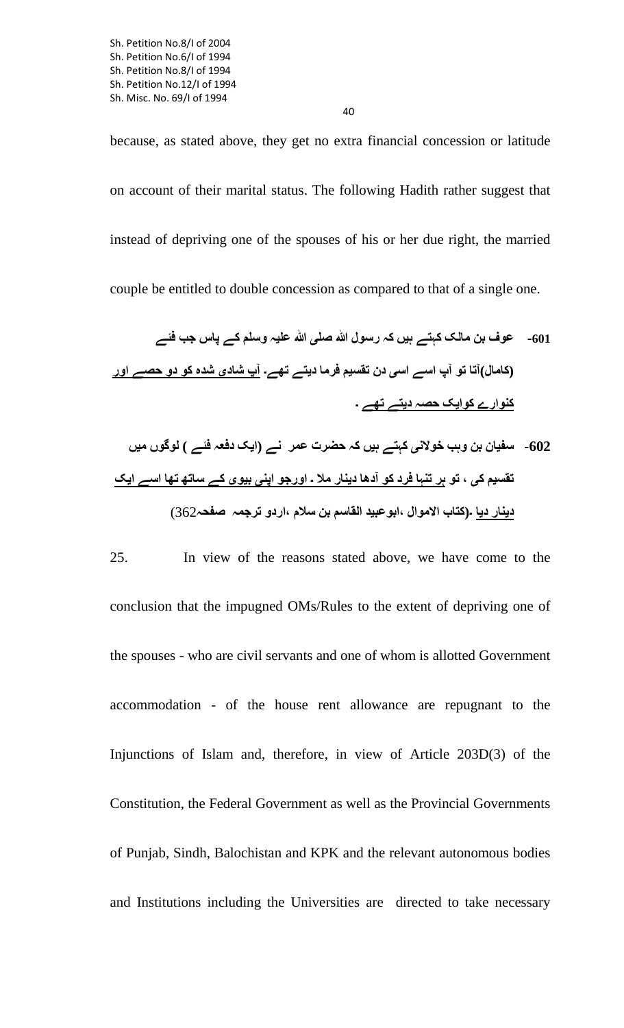because, as stated above, they get no extra financial concession or latitude on account of their marital status. The following Hadith rather suggest that instead of depriving one of the spouses of his or her due right, the married couple be entitled to double concession as compared to that of a single one.

**-601 عوف بن مالک کہتے ہيں کہ رسول الله صلی الله عليہ وسلم کے پاس جب فئے (کامال)آتا تو آپ اسے اسی دن تقسيم فرما ديتے تهے۔ آپ شادی شده کو دو حصے اور کنوارے کوايک حصہ ديتے تهے ۔**

**-602 سفيان بن وہب خولانی کہتے ہيں کہ حضرت عمر نے (ايک دفعہ فئے ) لوگوں ميں تقسيم کی ، تو ہر تنہا فرد کو آدها دينار ملا ۔ اورجو اپنی بيوی کے ساته تها اسے ايک دينار ديا ۔(کتاب الاموال ،ابوعبيد القاسم بن سلام ،اردو ترجمہ صفحہ**362)

25. In view of the reasons stated above, we have come to the conclusion that the impugned OMs/Rules to the extent of depriving one of the spouses - who are civil servants and one of whom is allotted Government accommodation - of the house rent allowance are repugnant to the Injunctions of Islam and, therefore, in view of Article 203D(3) of the Constitution, the Federal Government as well as the Provincial Governments of Punjab, Sindh, Balochistan and KPK and the relevant autonomous bodies and Institutions including the Universities are directed to take necessary